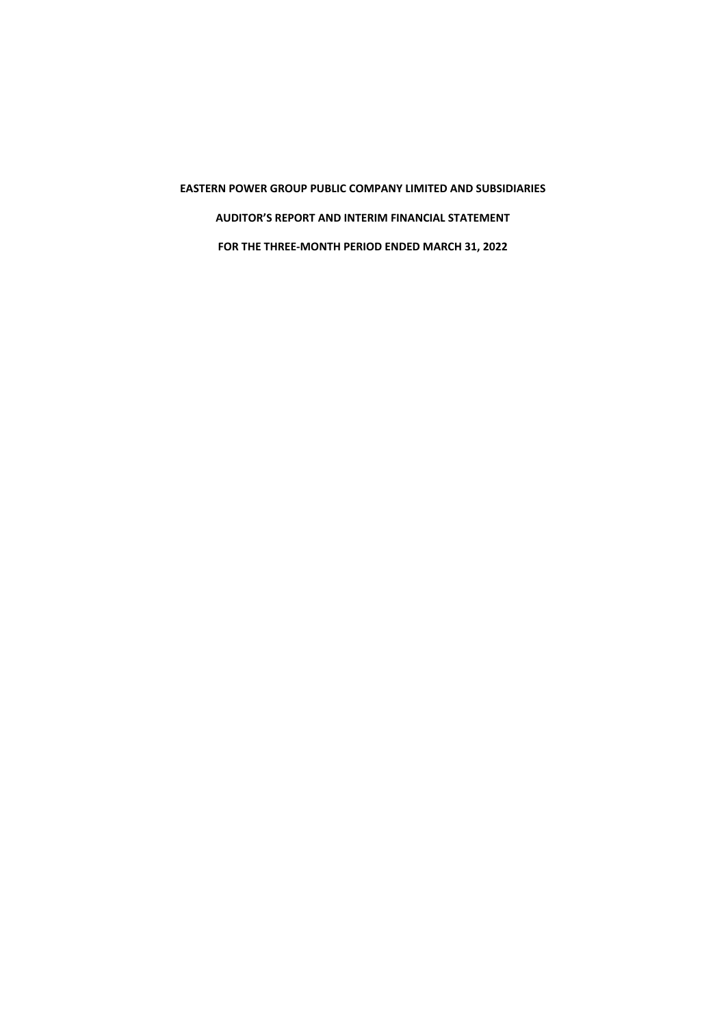**EASTERN POWER GROUP PUBLIC COMPANY LIMITED AND SUBSIDIARIES AUDITOR'S REPORT AND INTERIM FINANCIAL STATEMENT FOR THE THREE-MONTH PERIOD ENDED MARCH 31, 2022**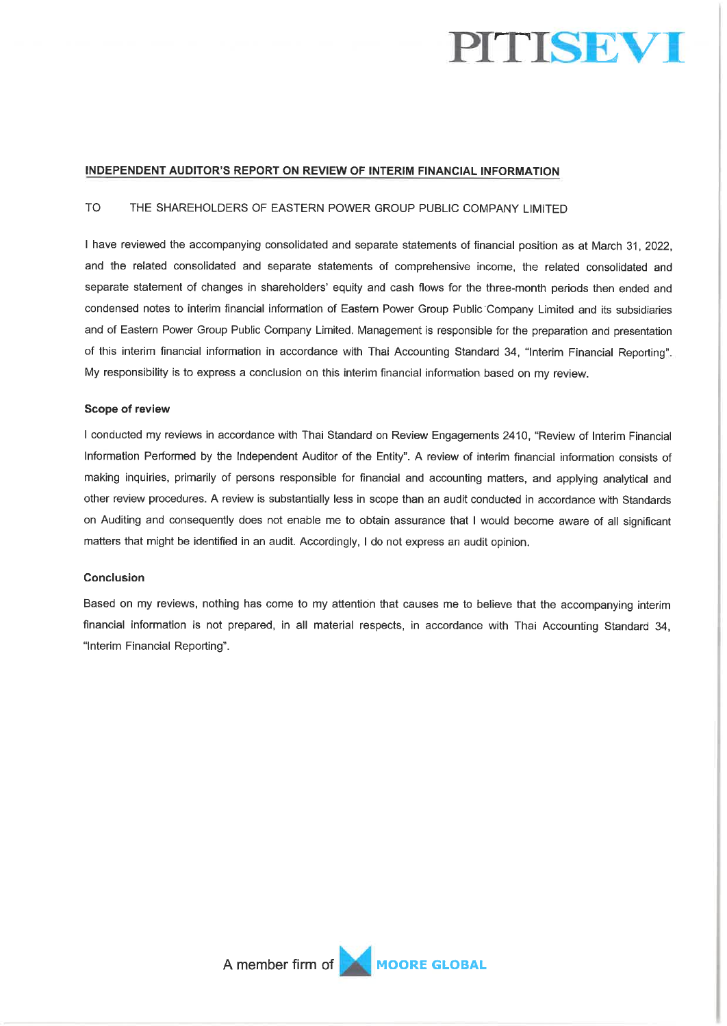

# INDEPENDENT AUDITOR'S REPORT ON REVIEW OF INTERIM FINANCIAL INFORMATION

#### **TO** THE SHAREHOLDERS OF EASTERN POWER GROUP PUBLIC COMPANY LIMITED

I have reviewed the accompanying consolidated and separate statements of financial position as at March 31, 2022, and the related consolidated and separate statements of comprehensive income, the related consolidated and separate statement of changes in shareholders' equity and cash flows for the three-month periods then ended and condensed notes to interim financial information of Eastern Power Group Public Company Limited and its subsidiaries and of Eastern Power Group Public Company Limited. Management is responsible for the preparation and presentation of this interim financial information in accordance with Thai Accounting Standard 34, "Interim Financial Reporting". My responsibility is to express a conclusion on this interim financial information based on my review.

#### Scope of review

I conducted my reviews in accordance with Thai Standard on Review Engagements 2410, "Review of Interim Financial Information Performed by the Independent Auditor of the Entity". A review of interim financial information consists of making inquiries, primarily of persons responsible for financial and accounting matters, and applying analytical and other review procedures. A review is substantially less in scope than an audit conducted in accordance with Standards on Auditing and consequently does not enable me to obtain assurance that I would become aware of all significant matters that might be identified in an audit. Accordingly, I do not express an audit opinion.

#### Conclusion

Based on my reviews, nothing has come to my attention that causes me to believe that the accompanying interim financial information is not prepared, in all material respects, in accordance with Thai Accounting Standard 34, "Interim Financial Reporting".

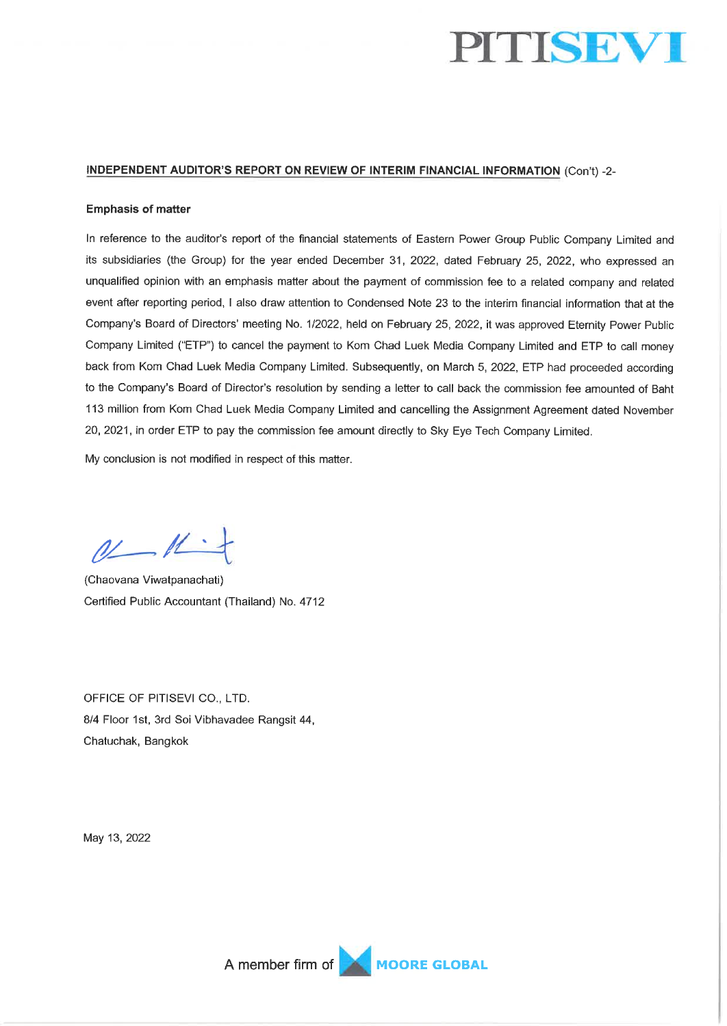

### INDEPENDENT AUDITOR'S REPORT ON REVIEW OF INTERIM FINANCIAL INFORMATION (Con't) -2-

#### **Emphasis of matter**

In reference to the auditor's report of the financial statements of Eastern Power Group Public Company Limited and its subsidiaries (the Group) for the year ended December 31, 2022, dated February 25, 2022, who expressed an unqualified opinion with an emphasis matter about the payment of commission fee to a related company and related event after reporting period, I also draw attention to Condensed Note 23 to the interim financial information that at the Company's Board of Directors' meeting No. 1/2022, held on February 25, 2022, it was approved Eternity Power Public Company Limited ("ETP") to cancel the payment to Kom Chad Luek Media Company Limited and ETP to call money back from Kom Chad Luek Media Company Limited. Subsequently, on March 5, 2022, ETP had proceeded according to the Company's Board of Director's resolution by sending a letter to call back the commission fee amounted of Baht 113 million from Kom Chad Luek Media Company Limited and cancelling the Assignment Agreement dated November 20, 2021, in order ETP to pay the commission fee amount directly to Sky Eye Tech Company Limited.

My conclusion is not modified in respect of this matter.

 $0$ 

(Chaovana Viwatpanachati) Certified Public Accountant (Thailand) No. 4712

OFFICE OF PITISEVI CO., LTD. 8/4 Floor 1st, 3rd Soi Vibhavadee Rangsit 44, Chatuchak, Bangkok

May 13, 2022

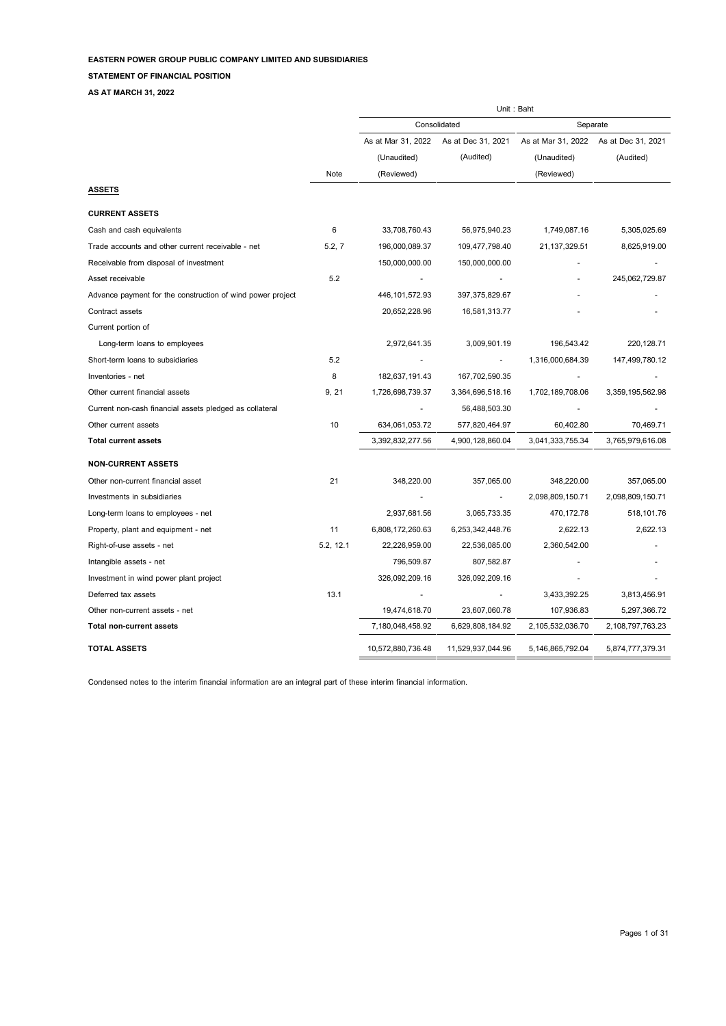#### **STATEMENT OF FINANCIAL POSITION**

**AS AT MARCH 31, 2022**

|                                                            |           | Unit: Baht         |                    |                    |                    |  |  |
|------------------------------------------------------------|-----------|--------------------|--------------------|--------------------|--------------------|--|--|
|                                                            |           |                    | Consolidated       | Separate           |                    |  |  |
|                                                            |           | As at Mar 31, 2022 | As at Dec 31, 2021 | As at Mar 31, 2022 | As at Dec 31, 2021 |  |  |
|                                                            |           | (Unaudited)        | (Audited)          | (Unaudited)        | (Audited)          |  |  |
|                                                            | Note      | (Reviewed)         |                    | (Reviewed)         |                    |  |  |
| <b>ASSETS</b>                                              |           |                    |                    |                    |                    |  |  |
| <b>CURRENT ASSETS</b>                                      |           |                    |                    |                    |                    |  |  |
| Cash and cash equivalents                                  | 6         | 33,708,760.43      | 56,975,940.23      | 1,749,087.16       | 5,305,025.69       |  |  |
| Trade accounts and other current receivable - net          | 5.2, 7    | 196,000,089.37     | 109,477,798.40     | 21,137,329.51      | 8,625,919.00       |  |  |
| Receivable from disposal of investment                     |           | 150,000,000.00     | 150,000,000.00     |                    |                    |  |  |
| Asset receivable                                           | 5.2       |                    |                    |                    | 245,062,729.87     |  |  |
| Advance payment for the construction of wind power project |           | 446, 101, 572.93   | 397, 375, 829.67   |                    |                    |  |  |
| Contract assets                                            |           | 20,652,228.96      | 16,581,313.77      |                    |                    |  |  |
| Current portion of                                         |           |                    |                    |                    |                    |  |  |
| Long-term loans to employees                               |           | 2,972,641.35       | 3,009,901.19       | 196,543.42         | 220,128.71         |  |  |
| Short-term loans to subsidiaries                           | 5.2       |                    |                    | 1,316,000,684.39   | 147,499,780.12     |  |  |
| Inventories - net                                          | 8         | 182,637,191.43     | 167,702,590.35     |                    |                    |  |  |
| Other current financial assets                             | 9, 21     | 1,726,698,739.37   | 3,364,696,518.16   | 1,702,189,708.06   | 3,359,195,562.98   |  |  |
| Current non-cash financial assets pledged as collateral    |           |                    | 56,488,503.30      |                    |                    |  |  |
| Other current assets                                       | 10        | 634,061,053.72     | 577,820,464.97     | 60,402.80          | 70,469.71          |  |  |
| <b>Total current assets</b>                                |           | 3,392,832,277.56   | 4,900,128,860.04   | 3,041,333,755.34   | 3,765,979,616.08   |  |  |
| <b>NON-CURRENT ASSETS</b>                                  |           |                    |                    |                    |                    |  |  |
| Other non-current financial asset                          | 21        | 348,220.00         | 357,065.00         | 348,220.00         | 357,065.00         |  |  |
| Investments in subsidiaries                                |           |                    |                    | 2,098,809,150.71   | 2,098,809,150.71   |  |  |
| Long-term loans to employees - net                         |           | 2,937,681.56       | 3,065,733.35       | 470,172.78         | 518,101.76         |  |  |
| Property, plant and equipment - net                        | 11        | 6,808,172,260.63   | 6,253,342,448.76   | 2,622.13           | 2,622.13           |  |  |
| Right-of-use assets - net                                  | 5.2, 12.1 | 22,226,959.00      | 22,536,085.00      | 2,360,542.00       |                    |  |  |
| Intangible assets - net                                    |           | 796,509.87         | 807,582.87         |                    |                    |  |  |
| Investment in wind power plant project                     |           | 326,092,209.16     | 326,092,209.16     |                    |                    |  |  |
| Deferred tax assets                                        | 13.1      |                    |                    | 3,433,392.25       | 3,813,456.91       |  |  |
| Other non-current assets - net                             |           | 19,474,618.70      | 23,607,060.78      | 107,936.83         | 5,297,366.72       |  |  |
| <b>Total non-current assets</b>                            |           | 7,180,048,458.92   | 6,629,808,184.92   | 2,105,532,036.70   | 2,108,797,763.23   |  |  |
| <b>TOTAL ASSETS</b>                                        |           | 10,572,880,736.48  | 11,529,937,044.96  | 5,146,865,792.04   | 5,874,777,379.31   |  |  |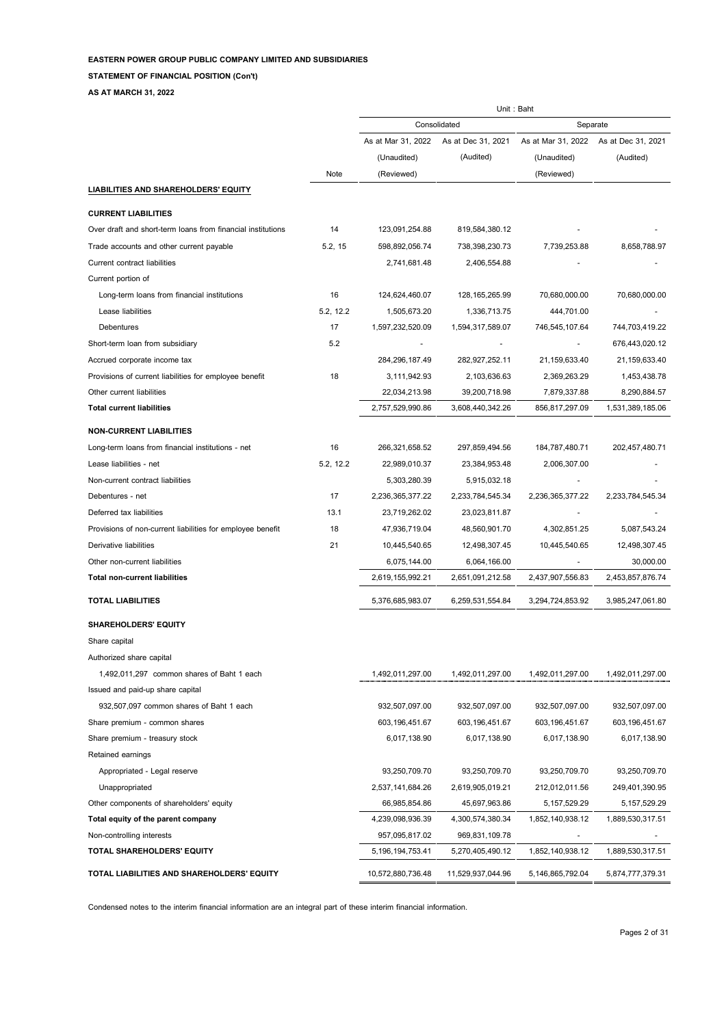**STATEMENT OF FINANCIAL POSITION (Con't)**

**AS AT MARCH 31, 2022**

|                                                             |           | Unit: Baht         |                    |                    |                    |  |
|-------------------------------------------------------------|-----------|--------------------|--------------------|--------------------|--------------------|--|
|                                                             |           |                    | Consolidated       | Separate           |                    |  |
|                                                             |           | As at Mar 31, 2022 | As at Dec 31, 2021 | As at Mar 31, 2022 | As at Dec 31, 2021 |  |
|                                                             |           | (Unaudited)        | (Audited)          | (Unaudited)        | (Audited)          |  |
|                                                             | Note      | (Reviewed)         |                    | (Reviewed)         |                    |  |
| <b>LIABILITIES AND SHAREHOLDERS' EQUITY</b>                 |           |                    |                    |                    |                    |  |
| <b>CURRENT LIABILITIES</b>                                  |           |                    |                    |                    |                    |  |
| Over draft and short-term loans from financial institutions | 14        | 123,091,254.88     | 819,584,380.12     |                    |                    |  |
| Trade accounts and other current payable                    | 5.2, 15   | 598,892,056.74     | 738,398,230.73     | 7,739,253.88       | 8,658,788.97       |  |
| <b>Current contract liabilities</b>                         |           | 2,741,681.48       | 2,406,554.88       |                    |                    |  |
| Current portion of                                          |           |                    |                    |                    |                    |  |
| Long-term loans from financial institutions                 | 16        | 124,624,460.07     | 128, 165, 265. 99  | 70,680,000.00      | 70,680,000.00      |  |
| Lease liabilities                                           | 5.2, 12.2 | 1,505,673.20       | 1,336,713.75       | 444,701.00         |                    |  |
| Debentures                                                  | 17        | 1,597,232,520.09   | 1,594,317,589.07   | 746,545,107.64     | 744,703,419.22     |  |
| Short-term loan from subsidiary                             | 5.2       |                    |                    |                    | 676,443,020.12     |  |
| Accrued corporate income tax                                |           | 284,296,187.49     | 282,927,252.11     | 21,159,633.40      | 21,159,633.40      |  |
| Provisions of current liabilities for employee benefit      | 18        | 3,111,942.93       | 2,103,636.63       | 2,369,263.29       | 1,453,438.78       |  |
| Other current liabilities                                   |           | 22,034,213.98      | 39,200,718.98      | 7,879,337.88       | 8,290,884.57       |  |
| <b>Total current liabilities</b>                            |           | 2,757,529,990.86   | 3,608,440,342.26   | 856,817,297.09     | 1,531,389,185.06   |  |
| <b>NON-CURRENT LIABILITIES</b>                              |           |                    |                    |                    |                    |  |
| Long-term loans from financial institutions - net           | 16        | 266,321,658.52     | 297,859,494.56     | 184,787,480.71     | 202,457,480.71     |  |
| Lease liabilities - net                                     | 5.2, 12.2 | 22,989,010.37      | 23,384,953.48      | 2,006,307.00       |                    |  |
| Non-current contract liabilities                            |           | 5,303,280.39       | 5,915,032.18       |                    |                    |  |
| Debentures - net                                            | 17        | 2,236,365,377.22   | 2,233,784,545.34   | 2,236,365,377.22   | 2,233,784,545.34   |  |
| Deferred tax liabilities                                    | 13.1      | 23,719,262.02      | 23,023,811.87      |                    |                    |  |
| Provisions of non-current liabilities for employee benefit  | 18        | 47,936,719.04      | 48,560,901.70      | 4,302,851.25       | 5,087,543.24       |  |
| Derivative liabilities                                      | 21        | 10,445,540.65      | 12,498,307.45      | 10,445,540.65      | 12,498,307.45      |  |
| Other non-current liabilities                               |           | 6,075,144.00       | 6,064,166.00       |                    | 30,000.00          |  |
| <b>Total non-current liabilities</b>                        |           | 2,619,155,992.21   | 2,651,091,212.58   | 2,437,907,556.83   | 2,453,857,876.74   |  |
| <b>TOTAL LIABILITIES</b>                                    |           | 5,376,685,983.07   | 6,259,531,554.84   | 3,294,724,853.92   | 3,985,247,061.80   |  |
| <b>SHAREHOLDERS' EQUITY</b>                                 |           |                    |                    |                    |                    |  |
| Share capital                                               |           |                    |                    |                    |                    |  |
| Authorized share capital                                    |           |                    |                    |                    |                    |  |
| 1,492,011,297 common shares of Baht 1 each                  |           | 1,492,011,297.00   | 1,492,011,297.00   | 1,492,011,297.00   | 1,492,011,297.00   |  |
| Issued and paid-up share capital                            |           |                    |                    |                    |                    |  |
| 932,507,097 common shares of Baht 1 each                    |           | 932,507,097.00     | 932,507,097.00     | 932,507,097.00     | 932,507,097.00     |  |
| Share premium - common shares                               |           | 603,196,451.67     | 603,196,451.67     | 603,196,451.67     | 603,196,451.67     |  |
| Share premium - treasury stock                              |           | 6,017,138.90       | 6,017,138.90       | 6,017,138.90       | 6,017,138.90       |  |
| Retained earnings                                           |           |                    |                    |                    |                    |  |
| Appropriated - Legal reserve                                |           | 93,250,709.70      | 93,250,709.70      | 93,250,709.70      | 93,250,709.70      |  |
| Unappropriated                                              |           | 2,537,141,684.26   | 2,619,905,019.21   | 212,012,011.56     | 249,401,390.95     |  |
| Other components of shareholders' equity                    |           | 66,985,854.86      | 45,697,963.86      | 5, 157, 529. 29    | 5, 157, 529. 29    |  |
| Total equity of the parent company                          |           | 4,239,098,936.39   | 4,300,574,380.34   | 1,852,140,938.12   | 1,889,530,317.51   |  |
| Non-controlling interests                                   |           | 957,095,817.02     | 969,831,109.78     |                    |                    |  |
| TOTAL SHAREHOLDERS' EQUITY                                  |           | 5,196,194,753.41   | 5,270,405,490.12   | 1,852,140,938.12   | 1,889,530,317.51   |  |
| TOTAL LIABILITIES AND SHAREHOLDERS' EQUITY                  |           | 10,572,880,736.48  | 11,529,937,044.96  | 5,146,865,792.04   | 5,874,777,379.31   |  |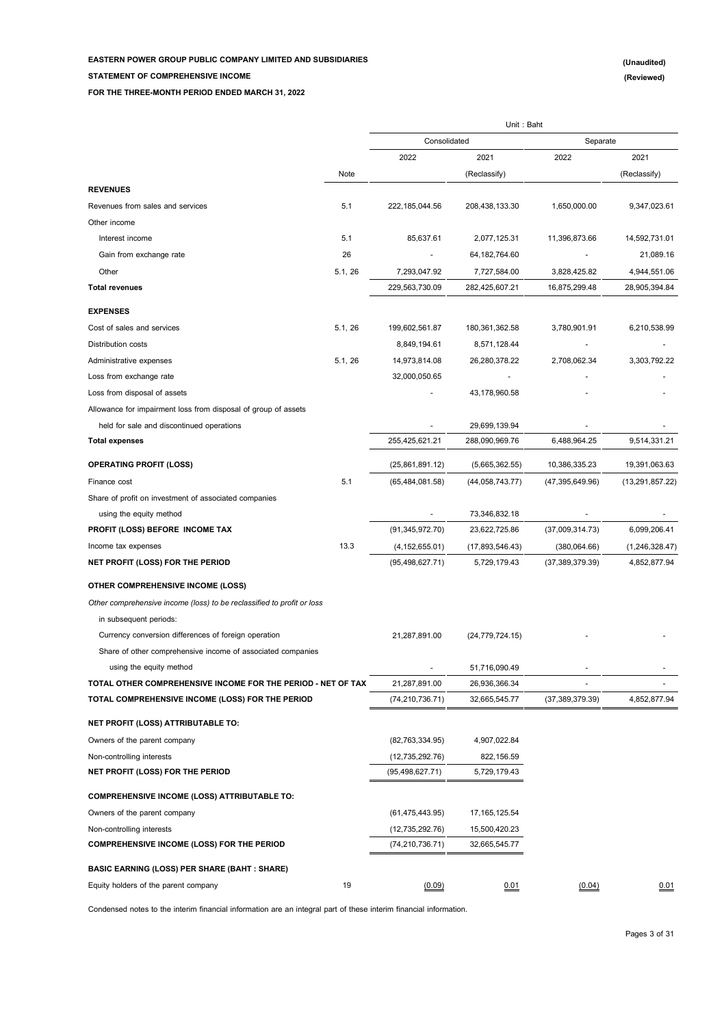**STATEMENT OF COMPREHENSIVE INCOME**

**FOR THE THREE-MONTH PERIOD ENDED MARCH 31, 2022**

|                                                                                                                  |         |                                    | Unit: Baht                     |                          |                          |
|------------------------------------------------------------------------------------------------------------------|---------|------------------------------------|--------------------------------|--------------------------|--------------------------|
|                                                                                                                  |         | Consolidated                       |                                | Separate                 |                          |
|                                                                                                                  |         | 2022                               | 2021                           | 2022                     | 2021                     |
|                                                                                                                  | Note    |                                    | (Reclassify)                   |                          | (Reclassify)             |
| <b>REVENUES</b>                                                                                                  |         |                                    |                                |                          |                          |
| Revenues from sales and services                                                                                 | 5.1     | 222,185,044.56                     | 208,438,133.30                 | 1,650,000.00             | 9,347,023.61             |
| Other income                                                                                                     |         |                                    |                                |                          |                          |
| Interest income                                                                                                  | 5.1     | 85,637.61                          | 2,077,125.31                   | 11,396,873.66            | 14,592,731.01            |
| Gain from exchange rate                                                                                          | 26      |                                    | 64,182,764.60                  |                          | 21,089.16                |
| Other                                                                                                            | 5.1, 26 | 7,293,047.92                       | 7,727,584.00                   | 3,828,425.82             | 4,944,551.06             |
| <b>Total revenues</b>                                                                                            |         | 229,563,730.09                     | 282,425,607.21                 | 16,875,299.48            | 28,905,394.84            |
| <b>EXPENSES</b>                                                                                                  |         |                                    |                                |                          |                          |
| Cost of sales and services                                                                                       | 5.1, 26 | 199,602,561.87                     | 180,361,362.58                 | 3,780,901.91             | 6,210,538.99             |
| Distribution costs                                                                                               |         | 8,849,194.61                       | 8,571,128.44                   |                          |                          |
| Administrative expenses                                                                                          | 5.1, 26 | 14,973,814.08                      | 26,280,378.22                  | 2,708,062.34             | 3,303,792.22             |
| Loss from exchange rate                                                                                          |         | 32.000.050.65                      |                                |                          |                          |
| Loss from disposal of assets                                                                                     |         |                                    | 43,178,960.58                  |                          |                          |
| Allowance for impairment loss from disposal of group of assets                                                   |         |                                    |                                |                          |                          |
| held for sale and discontinued operations                                                                        |         |                                    | 29,699,139.94                  |                          |                          |
| <b>Total expenses</b>                                                                                            |         | 255,425,621.21                     | 288,090,969.76                 | 6,488,964.25             | 9,514,331.21             |
| <b>OPERATING PROFIT (LOSS)</b>                                                                                   |         | (25,861,891.12)                    | (5,665,362.55)                 | 10,386,335.23            | 19,391,063.63            |
| Finance cost                                                                                                     | 5.1     | (65, 484, 081.58)                  | (44, 058, 743.77)              | (47, 395, 649.96)        | (13, 291, 857.22)        |
| Share of profit on investment of associated companies                                                            |         |                                    |                                |                          |                          |
| using the equity method                                                                                          |         | $\overline{a}$                     | 73,346,832.18                  |                          |                          |
| PROFIT (LOSS) BEFORE INCOME TAX                                                                                  |         | (91, 345, 972.70)                  | 23,622,725.86                  | (37,009,314.73)          | 6,099,206.41             |
| Income tax expenses                                                                                              | 13.3    | (4, 152, 655.01)                   | (17,893,546.43)                | (380,064.66)             | (1,246,328.47)           |
| NET PROFIT (LOSS) FOR THE PERIOD                                                                                 |         | (95, 498, 627.71)                  | 5,729,179.43                   | (37, 389, 379.39)        | 4,852,877.94             |
|                                                                                                                  |         |                                    |                                |                          |                          |
| <b>OTHER COMPREHENSIVE INCOME (LOSS)</b>                                                                         |         |                                    |                                |                          |                          |
| Other comprehensive income (loss) to be reclassified to profit or loss                                           |         |                                    |                                |                          |                          |
| in subsequent periods:                                                                                           |         |                                    |                                |                          |                          |
| Currency conversion differences of foreign operation                                                             |         | 21,287,891.00                      | (24, 779, 724.15)              |                          |                          |
| Share of other comprehensive income of associated companies                                                      |         |                                    |                                |                          |                          |
| using the equity method                                                                                          |         | $\overline{\phantom{a}}$           | 51,716,090.49                  | $\overline{\phantom{a}}$ | $\overline{\phantom{a}}$ |
| TOTAL OTHER COMPREHENSIVE INCOME FOR THE PERIOD - NET OF TAX<br>TOTAL COMPREHENSIVE INCOME (LOSS) FOR THE PERIOD |         | 21,287,891.00<br>(74, 210, 736.71) | 26,936,366.34<br>32,665,545.77 | (37, 389, 379.39)        | 4,852,877.94             |
|                                                                                                                  |         |                                    |                                |                          |                          |
| NET PROFIT (LOSS) ATTRIBUTABLE TO:                                                                               |         |                                    |                                |                          |                          |
| Owners of the parent company                                                                                     |         | (82, 763, 334.95)                  | 4,907,022.84                   |                          |                          |
| Non-controlling interests                                                                                        |         | (12,735,292.76)                    | 822,156.59                     |                          |                          |
| NET PROFIT (LOSS) FOR THE PERIOD                                                                                 |         | (95, 498, 627.71)                  | 5,729,179.43                   |                          |                          |
| <b>COMPREHENSIVE INCOME (LOSS) ATTRIBUTABLE TO:</b>                                                              |         |                                    |                                |                          |                          |
| Owners of the parent company                                                                                     |         | (61, 475, 443.95)                  | 17, 165, 125.54                |                          |                          |
| Non-controlling interests                                                                                        |         | (12,735,292.76)                    | 15,500,420.23                  |                          |                          |
| <b>COMPREHENSIVE INCOME (LOSS) FOR THE PERIOD</b>                                                                |         | (74, 210, 736.71)                  | 32,665,545.77                  |                          |                          |
| <b>BASIC EARNING (LOSS) PER SHARE (BAHT: SHARE)</b>                                                              |         |                                    |                                |                          |                          |
| Equity holders of the parent company                                                                             | 19      | (0.09)                             | 0.01                           | (0.04)                   | 0.01                     |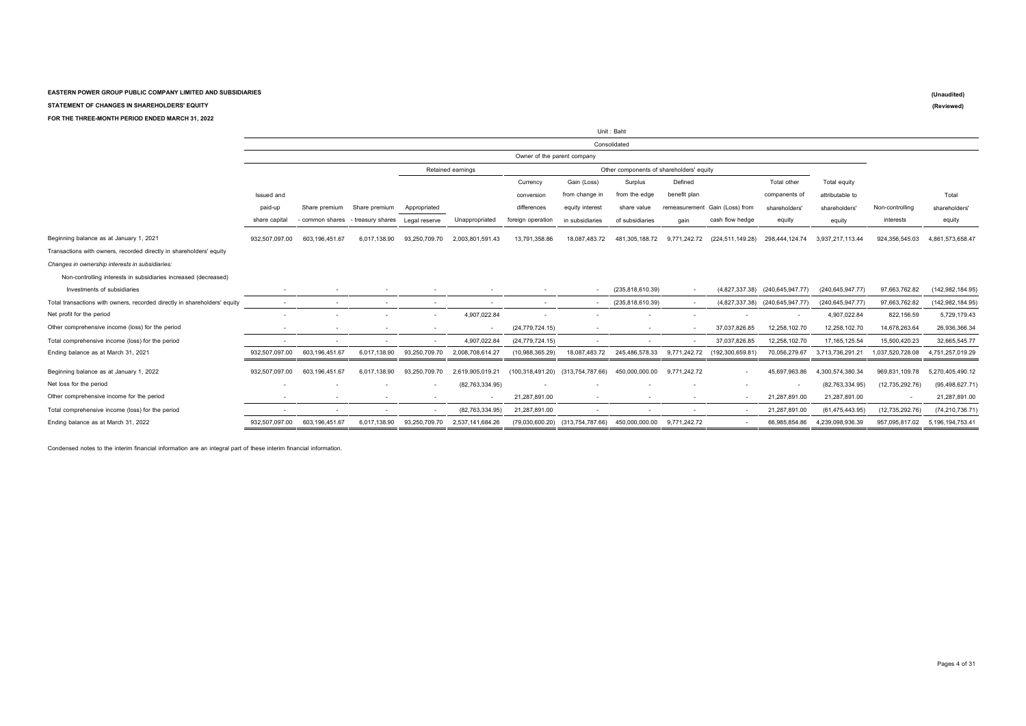**STATEMENT OF CHANGES IN SHAREHOLDERS' EQUITY**

#### **FOR THE THREE-MONTH PERIOD ENDED MARCH 31, 2022**

|                                                                           | Unit: Baht               |                 |                          |                          |                          |                             |                                   |                                          |                          |                                |                                 |                    |                   |                    |
|---------------------------------------------------------------------------|--------------------------|-----------------|--------------------------|--------------------------|--------------------------|-----------------------------|-----------------------------------|------------------------------------------|--------------------------|--------------------------------|---------------------------------|--------------------|-------------------|--------------------|
|                                                                           |                          |                 |                          |                          |                          |                             |                                   | Consolidated                             |                          |                                |                                 |                    |                   |                    |
|                                                                           |                          |                 |                          |                          |                          | Owner of the parent company |                                   |                                          |                          |                                |                                 |                    |                   |                    |
|                                                                           |                          |                 |                          |                          | Retained earnings        |                             |                                   | Other components of shareholders' equity |                          |                                |                                 |                    |                   |                    |
|                                                                           |                          |                 |                          |                          |                          | Currency                    | Gain (Loss)                       | Surplus                                  | Defined                  |                                | Total other                     | Total equity       |                   |                    |
|                                                                           | Issued and               |                 |                          |                          |                          | conversion                  | from change in                    | from the edge                            | benefit plan             |                                | companents of                   | attributable to    |                   | Total              |
|                                                                           | paid-up                  | Share premium   | Share premium            | Appropriated             |                          | differences                 | equity interest                   | share value                              |                          | remeasurement Gain (Loss) from | shareholders'                   | shareholders'      | Non-controlling   | shareholders'      |
|                                                                           | share capital            | - common shares | - treasury shares        | Legal reserve            | Unappropriated           | foreign operation           | in subsidiaries                   | of subsidiaries                          | gain                     | cash flow hedge                | equity                          | equity             | interests         | equity             |
| Beginning balance as at January 1, 2021                                   | 932.507.097.00           | 603.196.451.67  | 6.017.138.90             | 93,250,709.70            | 2,003,801,591.43         | 13,791,358.86               | 18,087,483.72                     | 481,305,188.72                           | 9,771,242.72             | (224, 511, 149.28)             | 298.444.124.74                  | 3,937,217,113.44   | 924,356,545.03    | 4,861,573,658.47   |
| Transactions with owners, recorded directly in shareholders' equity       |                          |                 |                          |                          |                          |                             |                                   |                                          |                          |                                |                                 |                    |                   |                    |
| Changes in ownership interests in subsidiaries:                           |                          |                 |                          |                          |                          |                             |                                   |                                          |                          |                                |                                 |                    |                   |                    |
| Non-controlling interests in subsidiaries increased (decreased)           |                          |                 |                          |                          |                          |                             |                                   |                                          |                          |                                |                                 |                    |                   |                    |
| Investments of subsidiaries                                               |                          |                 |                          |                          |                          |                             |                                   | (235, 818, 610.39)                       | $\sim$                   |                                | (4,827,337.38) (240,645,947.77) | (240, 645, 947.77) | 97,663,762.82     | (142, 982, 184.95) |
| Total transactions with owners, recorded directly in shareholders' equity | $\sim$                   | $\sim$          | $\overline{\phantom{a}}$ | $\sim$                   | $\overline{\phantom{a}}$ | $\overline{\phantom{a}}$    | $\sim$                            | (235, 818, 610.39)                       | $\sim$                   | (4,827,337.38)                 | (240, 645, 947.77)              | (240, 645, 947.77) | 97,663,762.82     | (142, 982, 184.95) |
| Net profit for the period                                                 |                          |                 |                          |                          | 4,907,022.84             |                             |                                   |                                          |                          |                                |                                 | 4,907,022.84       | 822,156.59        | 5,729,179.43       |
| Other comprehensive income (loss) for the period                          |                          |                 |                          |                          |                          | (24, 779, 724.15)           | $\sim$                            | $\overline{\phantom{a}}$                 |                          | 37,037,826.85                  | 12,258,102.70                   | 12,258,102.70      | 14,678,263.64     | 26,936,366.34      |
| Total comprehensive income (loss) for the period                          |                          |                 |                          | $\sim$                   | 4,907,022.84             | (24, 779, 724.15)           | $\sim$                            |                                          |                          | 37,037,826.85                  | 12,258,102.70                   | 17, 165, 125.54    | 15,500,420.23     | 32,665,545.77      |
| Ending balance as at March 31, 2021                                       | 932,507,097.00           | 603,196,451.67  | 6,017,138.90             | 93,250,709.70            | 2,008,708,614.27         | (10,988,365.29)             | 18,087,483.72                     | 245,486,578.33                           | 9,771,242.72             | (192, 300, 659.81)             | 70,056,279.67                   | 3,713,736,291.21   | 1,037,520,728.08  | 4,751,257,019.29   |
| Beginning balance as at January 1, 2022                                   | 932.507.097.00           | 603.196.451.67  | 6.017.138.90             | 93.250.709.70            | 2.619.905.019.21         |                             | (100,318,491.20) (313,754,787.66) | 450,000,000.00                           | 9.771.242.72             | $\overline{\phantom{a}}$       | 45.697.963.86                   | 4.300.574.380.34   | 969,831,109.78    | 5,270,405,490.12   |
| Net loss for the period                                                   | $\overline{\phantom{a}}$ |                 |                          | $\overline{\phantom{a}}$ | (82, 763, 334.95)        |                             | $\overline{\phantom{a}}$          |                                          | $\overline{\phantom{a}}$ | $\overline{\phantom{a}}$       | $\overline{\phantom{a}}$        | (82.763.334.95)    | (12, 735, 292.76) | (95, 498, 627.71)  |
| Other comprehensive income for the period                                 |                          |                 |                          |                          |                          | 21,287,891.00               | $\overline{\phantom{a}}$          | $\overline{\phantom{a}}$                 | $\overline{\phantom{a}}$ | $\overline{\phantom{a}}$       | 21,287,891.00                   | 21,287,891.00      |                   | 21,287,891.00      |
| Total comprehensive income (loss) for the period                          |                          |                 |                          | $\sim$                   | (82,763,334.95)          | 21,287,891.00               | $\sim$                            |                                          |                          | $\overline{\phantom{a}}$       | 21,287,891.00                   | (61, 475, 443.95)  | (12, 735, 292.76) | (74, 210, 736.71)  |
| Ending balance as at March 31, 2022                                       | 932,507,097.00           | 603,196,451.67  | 6.017.138.90             | 93.250.709.70            | 2.537.141.684.26         |                             | (79,030,600.20) (313,754,787.66)  | 450,000,000.00                           | 9.771.242.72             | $\sim$                         | 66.985.854.86                   | 4,239,098,936.39   | 957.095.817.02    | 5.196.194.753.41   |

Condensed notes to the interim financial information are an integral part of these interim financial information.

**(Unaudited) (Reviewed)**

Pages 4 of 31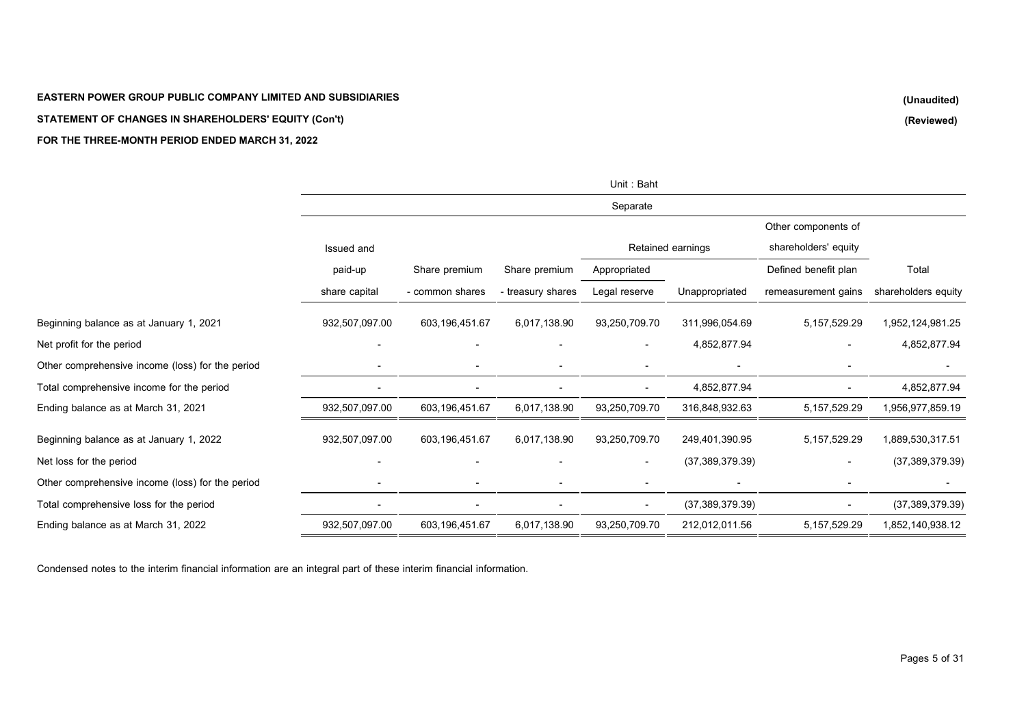### **STATEMENT OF CHANGES IN SHAREHOLDERS' EQUITY (Con't)**

### **FOR THE THREE-MONTH PERIOD ENDED MARCH 31, 2022**

|                                                  |                          |                 |                   | Unit: Baht    |                   |                      |                     |
|--------------------------------------------------|--------------------------|-----------------|-------------------|---------------|-------------------|----------------------|---------------------|
|                                                  |                          |                 |                   | Separate      |                   |                      |                     |
|                                                  |                          |                 |                   |               |                   | Other components of  |                     |
|                                                  | <b>Issued and</b>        |                 |                   |               | Retained earnings | shareholders' equity |                     |
|                                                  | paid-up                  | Share premium   | Share premium     | Appropriated  |                   | Defined benefit plan | Total               |
|                                                  | share capital            | - common shares | - treasury shares | Legal reserve | Unappropriated    | remeasurement gains  | shareholders equity |
| Beginning balance as at January 1, 2021          | 932,507,097.00           | 603,196,451.67  | 6,017,138.90      | 93,250,709.70 | 311,996,054.69    | 5, 157, 529. 29      | 1,952,124,981.25    |
| Net profit for the period                        | $\overline{\phantom{a}}$ |                 |                   |               | 4,852,877.94      |                      | 4,852,877.94        |
| Other comprehensive income (loss) for the period |                          |                 |                   |               |                   |                      |                     |
| Total comprehensive income for the period        |                          |                 |                   |               | 4,852,877.94      |                      | 4,852,877.94        |
| Ending balance as at March 31, 2021              | 932,507,097.00           | 603,196,451.67  | 6,017,138.90      | 93,250,709.70 | 316,848,932.63    | 5, 157, 529. 29      | 1,956,977,859.19    |
| Beginning balance as at January 1, 2022          | 932,507,097.00           | 603,196,451.67  | 6,017,138.90      | 93,250,709.70 | 249,401,390.95    | 5, 157, 529. 29      | 1,889,530,317.51    |
| Net loss for the period                          |                          |                 |                   |               | (37, 389, 379.39) |                      | (37, 389, 379.39)   |
| Other comprehensive income (loss) for the period |                          |                 |                   |               |                   |                      |                     |
| Total comprehensive loss for the period          | $\blacksquare$           |                 |                   |               | (37, 389, 379.39) |                      | (37, 389, 379.39)   |
| Ending balance as at March 31, 2022              | 932,507,097.00           | 603,196,451.67  | 6,017,138.90      | 93,250,709.70 | 212,012,011.56    | 5, 157, 529. 29      | 1,852,140,938.12    |
|                                                  |                          |                 |                   |               |                   |                      |                     |

Condensed notes to the interim financial information are an integral part of these interim financial information.

**(Unaudited) (Reviewed)**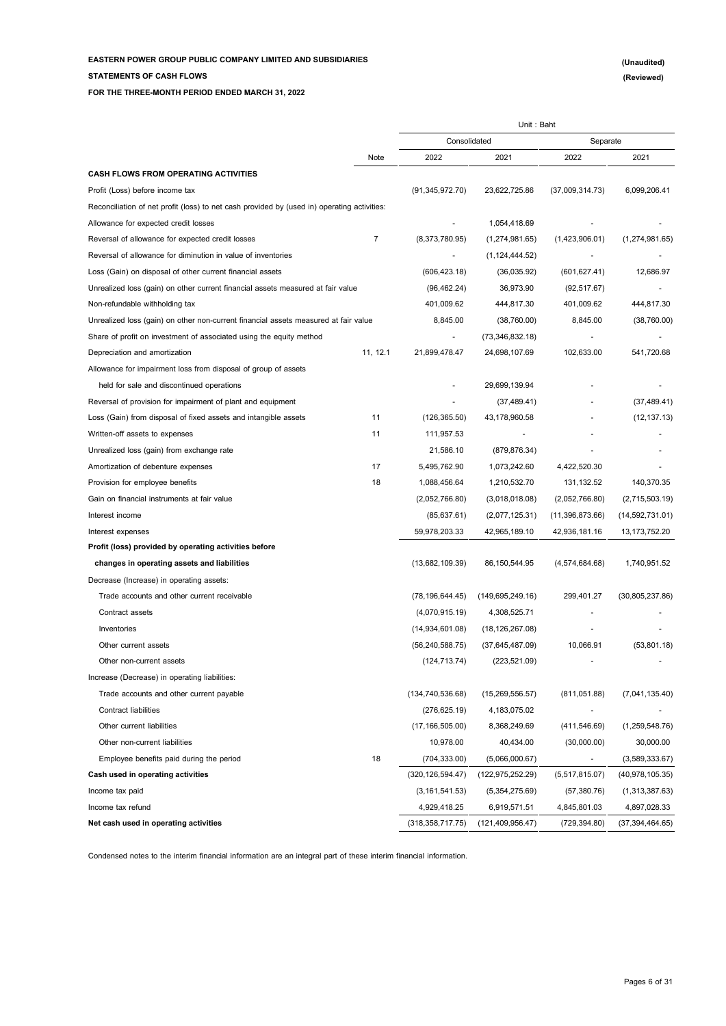**FOR THE THREE-MONTH PERIOD ENDED MARCH 31, 2022**

**STATEMENTS OF CASH FLOWS**

|                                                                                             |                |                    | Unit: Baht         |                          |                   |
|---------------------------------------------------------------------------------------------|----------------|--------------------|--------------------|--------------------------|-------------------|
|                                                                                             |                | Consolidated       |                    | Separate                 |                   |
|                                                                                             | Note           | 2022               | 2021               | 2022                     | 2021              |
| <b>CASH FLOWS FROM OPERATING ACTIVITIES</b>                                                 |                |                    |                    |                          |                   |
| Profit (Loss) before income tax                                                             |                | (91, 345, 972.70)  | 23,622,725.86      | (37,009,314.73)          | 6,099,206.41      |
| Reconciliation of net profit (loss) to net cash provided by (used in) operating activities: |                |                    |                    |                          |                   |
| Allowance for expected credit losses                                                        |                |                    | 1,054,418.69       |                          |                   |
| Reversal of allowance for expected credit losses                                            | $\overline{7}$ | (8,373,780.95)     | (1,274,981.65)     | (1,423,906.01)           | (1,274,981.65)    |
| Reversal of allowance for diminution in value of inventories                                |                |                    | (1, 124, 444.52)   |                          |                   |
| Loss (Gain) on disposal of other current financial assets                                   |                | (606, 423.18)      | (36,035.92)        | (601, 627.41)            | 12,686.97         |
| Unrealized loss (gain) on other current financial assets measured at fair value             |                | (96, 462.24)       | 36,973.90          | (92, 517.67)             |                   |
| Non-refundable withholding tax                                                              |                | 401,009.62         | 444,817.30         | 401,009.62               | 444,817.30        |
| Unrealized loss (gain) on other non-current financial assets measured at fair value         |                | 8,845.00           | (38,760.00)        | 8,845.00                 | (38,760.00)       |
| Share of profit on investment of associated using the equity method                         |                |                    | (73, 346, 832.18)  |                          |                   |
| Depreciation and amortization                                                               | 11, 12.1       | 21,899,478.47      | 24,698,107.69      | 102,633.00               | 541,720.68        |
| Allowance for impairment loss from disposal of group of assets                              |                |                    |                    |                          |                   |
| held for sale and discontinued operations                                                   |                |                    | 29,699,139.94      |                          |                   |
| Reversal of provision for impairment of plant and equipment                                 |                |                    | (37, 489.41)       |                          | (37, 489.41)      |
| Loss (Gain) from disposal of fixed assets and intangible assets                             | 11             | (126, 365.50)      | 43,178,960.58      |                          | (12, 137.13)      |
| Written-off assets to expenses                                                              | 11             | 111,957.53         |                    |                          |                   |
| Unrealized loss (gain) from exchange rate                                                   |                | 21,586.10          | (879, 876.34)      |                          |                   |
| Amortization of debenture expenses                                                          | 17             | 5,495,762.90       | 1,073,242.60       | 4,422,520.30             |                   |
| Provision for employee benefits                                                             | 18             | 1,088,456.64       | 1,210,532.70       | 131, 132.52              | 140,370.35        |
| Gain on financial instruments at fair value                                                 |                | (2,052,766.80)     | (3,018,018.08)     | (2,052,766.80)           | (2,715,503.19)    |
| Interest income                                                                             |                | (85, 637.61)       | (2,077,125.31)     | (11,396,873.66)          | (14, 592, 731.01) |
| Interest expenses                                                                           |                | 59,978,203.33      | 42,965,189.10      | 42,936,181.16            | 13, 173, 752. 20  |
| Profit (loss) provided by operating activities before                                       |                |                    |                    |                          |                   |
| changes in operating assets and liabilities                                                 |                | (13,682,109.39)    | 86,150,544.95      | (4,574,684.68)           | 1,740,951.52      |
| Decrease (Increase) in operating assets:                                                    |                |                    |                    |                          |                   |
| Trade accounts and other current receivable                                                 |                | (78, 196, 644.45)  | (149, 695, 249.16) | 299,401.27               | (30, 805, 237.86) |
| Contract assets                                                                             |                | (4,070,915.19)     | 4,308,525.71       |                          |                   |
| Inventories                                                                                 |                | (14,934,601.08)    | (18, 126, 267.08)  |                          |                   |
| Other current assets                                                                        |                | (56, 240, 588.75)  | (37,645,487.09)    | 10,066.91                | (53,801.18)       |
| Other non-current assets                                                                    |                | (124, 713.74)      | (223, 521.09)      |                          |                   |
| Increase (Decrease) in operating liabilities:                                               |                |                    |                    |                          |                   |
| Trade accounts and other current payable                                                    |                | (134, 740, 536.68) | (15, 269, 556.57)  | (811, 051.88)            | (7,041,135.40)    |
| Contract liabilities                                                                        |                | (276, 625.19)      | 4,183,075.02       |                          |                   |
| Other current liabilities                                                                   |                | (17, 166, 505.00)  | 8,368,249.69       | (411, 546.69)            | (1, 259, 548.76)  |
| Other non-current liabilities                                                               |                | 10,978.00          | 40,434.00          | (30,000.00)              | 30,000.00         |
| Employee benefits paid during the period                                                    | 18             | (704, 333.00)      | (5,066,000.67)     | $\overline{\phantom{a}}$ | (3,589,333.67)    |
| Cash used in operating activities                                                           |                | (320, 126, 594.47) | (122, 975, 252.29) | (5,517,815.07)           | (40, 978, 105.35) |
| Income tax paid                                                                             |                | (3, 161, 541.53)   | (5,354,275.69)     | (57, 380.76)             | (1,313,387.63)    |
| Income tax refund                                                                           |                | 4,929,418.25       | 6,919,571.51       | 4,845,801.03             | 4,897,028.33      |
| Net cash used in operating activities                                                       |                | (318, 358, 717.75) | (121, 409, 956.47) | (729, 394.80)            | (37, 394, 464.65) |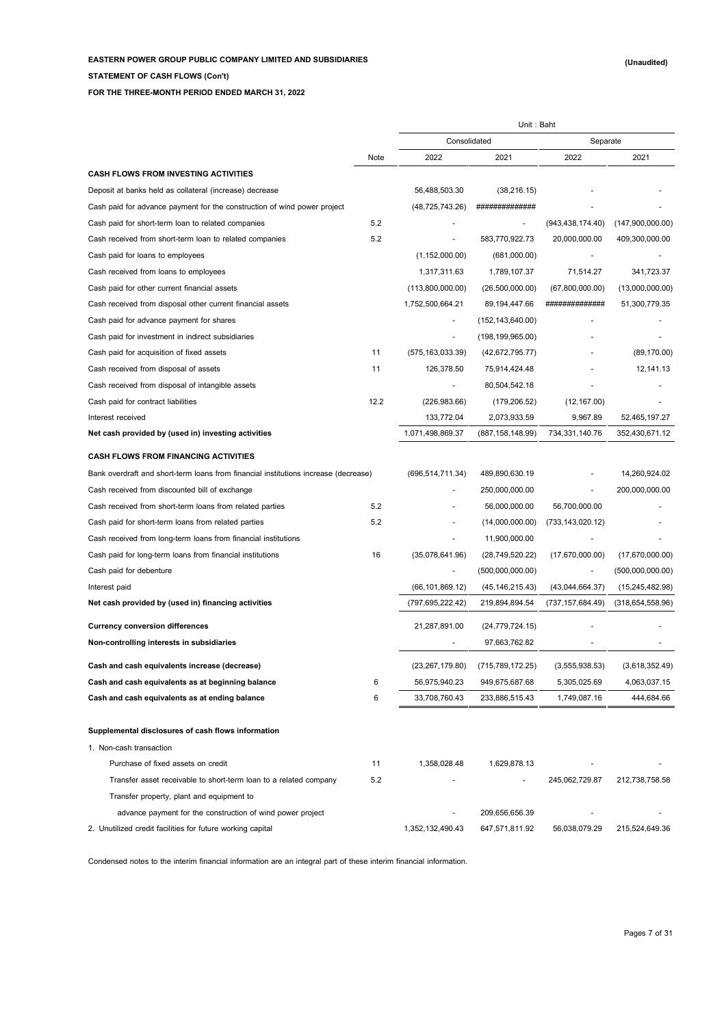**STATEMENT OF CASH FLOWS (Con't)**

**FOR THE THREE-MONTH PERIOD ENDED MARCH 31, 2022**

|                                                                                     |      | Unit: Baht         |                    |                    |                    |
|-------------------------------------------------------------------------------------|------|--------------------|--------------------|--------------------|--------------------|
|                                                                                     |      | Consolidated       |                    | Separate           |                    |
|                                                                                     | Note | 2022               | 2021               | 2022               | 2021               |
| <b>CASH FLOWS FROM INVESTING ACTIVITIES</b>                                         |      |                    |                    |                    |                    |
| Deposit at banks held as collateral (increase) decrease                             |      | 56,488,503.30      | (38, 216.15)       |                    |                    |
| Cash paid for advance payment for the construction of wind power project            |      | (48,725,743.26)    | ##############     |                    |                    |
| Cash paid for short-term loan to related companies                                  | 5.2  |                    |                    | (943, 438, 174.40) | (147,900,000.00)   |
| Cash received from short-term loan to related companies                             | 5.2  |                    | 583,770,922.73     | 20,000,000.00      | 409,300,000.00     |
| Cash paid for loans to employees                                                    |      | (1, 152, 000.00)   | (681,000.00)       |                    |                    |
| Cash received from loans to employees                                               |      | 1,317,311.63       | 1,789,107.37       | 71,514.27          | 341,723.37         |
| Cash paid for other current financial assets                                        |      | (113,800,000.00)   | (26,500,000.00)    | (67,800,000.00)    | (13,000,000.00)    |
| Cash received from disposal other current financial assets                          |      | 1,752,500,664.21   | 89,194,447.66      | #############      | 51,300,779.35      |
| Cash paid for advance payment for shares                                            |      |                    | (152, 143, 640.00) |                    |                    |
| Cash paid for investment in indirect subsidiaries                                   |      |                    | (198, 199, 965.00) |                    |                    |
| Cash paid for acquisition of fixed assets                                           | 11   | (575, 163, 033.39) | (42,672,795.77)    |                    | (89, 170.00)       |
| Cash received from disposal of assets                                               | 11   | 126,378.50         | 75,914,424.48      |                    | 12,141.13          |
| Cash received from disposal of intangible assets                                    |      |                    | 80,504,542.18      |                    |                    |
| Cash paid for contract liabilities                                                  | 12.2 | (226, 983.66)      | (179, 206.52)      | (12, 167.00)       |                    |
| Interest received                                                                   |      | 133,772.04         | 2,073,933.59       | 9,967.89           | 52,465,197.27      |
| Net cash provided by (used in) investing activities                                 |      | 1,071,498,869.37   | (887, 158, 148.99) | 734, 331, 140. 76  | 352,430,671.12     |
| <b>CASH FLOWS FROM FINANCING ACTIVITIES</b>                                         |      |                    |                    |                    |                    |
| Bank overdraft and short-term loans from financial institutions increase (decrease) |      | (696, 514, 711.34) | 489,890,630.19     |                    | 14,260,924.02      |
| Cash received from discounted bill of exchange                                      |      |                    | 250,000,000.00     |                    | 200,000,000.00     |
| Cash received from short-term loans from related parties                            | 5.2  |                    | 56,000,000.00      | 56,700,000.00      |                    |
| Cash paid for short-term loans from related parties                                 | 5.2  |                    | (14,000,000.00)    | (733, 143, 020.12) |                    |
| Cash received from long-term loans from financial institutions                      |      |                    | 11,900,000.00      |                    |                    |
| Cash paid for long-term loans from financial institutions                           | 16   | (35,078,641.96)    | (28, 749, 520.22)  | (17,670,000.00)    | (17,670,000.00)    |
| Cash paid for debenture                                                             |      |                    | (500,000,000.00)   |                    | (500,000,000.00)   |
| Interest paid                                                                       |      | (66, 101, 869.12)  | (45, 146, 215.43)  | (43,044,664.37)    | (15, 245, 482.98)  |
| Net cash provided by (used in) financing activities                                 |      | (797,695,222.42)   | 219,894,894.54     | (737, 157, 684.49) | (318, 654, 558.96) |
| <b>Currency conversion differences</b>                                              |      | 21,287,891.00      | (24, 779, 724.15)  |                    |                    |
| Non-controlling interests in subsidiaries                                           |      |                    | 97,663,762.82      |                    |                    |
| Cash and cash equivalents increase (decrease)                                       |      | (23, 267, 179.80)  | (715, 789, 172.25) | (3, 555, 938.53)   | (3,618,352.49)     |
| Cash and cash equivalents as at beginning balance                                   | 6    | 56,975,940.23      | 949,675,687.68     | 5,305,025.69       | 4,063,037.15       |
| Cash and cash equivalents as at ending balance                                      | 6    | 33,708,760.43      | 233,886,515.43     | 1,749,087.16       | 444,684.66         |
| Supplemental disclosures of cash flows information                                  |      |                    |                    |                    |                    |
| 1. Non-cash transaction                                                             |      |                    |                    |                    |                    |
| Purchase of fixed assets on credit                                                  | 11   | 1,358,028.48       | 1,629,878.13       |                    |                    |
| Transfer asset receivable to short-term loan to a related company                   | 5.2  |                    |                    | 245,062,729.87     | 212,738,758.58     |
| Transfer property, plant and equipment to                                           |      |                    |                    |                    |                    |
| advance payment for the construction of wind power project                          |      |                    | 209,656,656.39     |                    |                    |
| 2. Unutilized credit facilities for future working capital                          |      | 1,352,132,490.43   | 647,571,811.92     | 56,038,079.29      | 215,524,649.36     |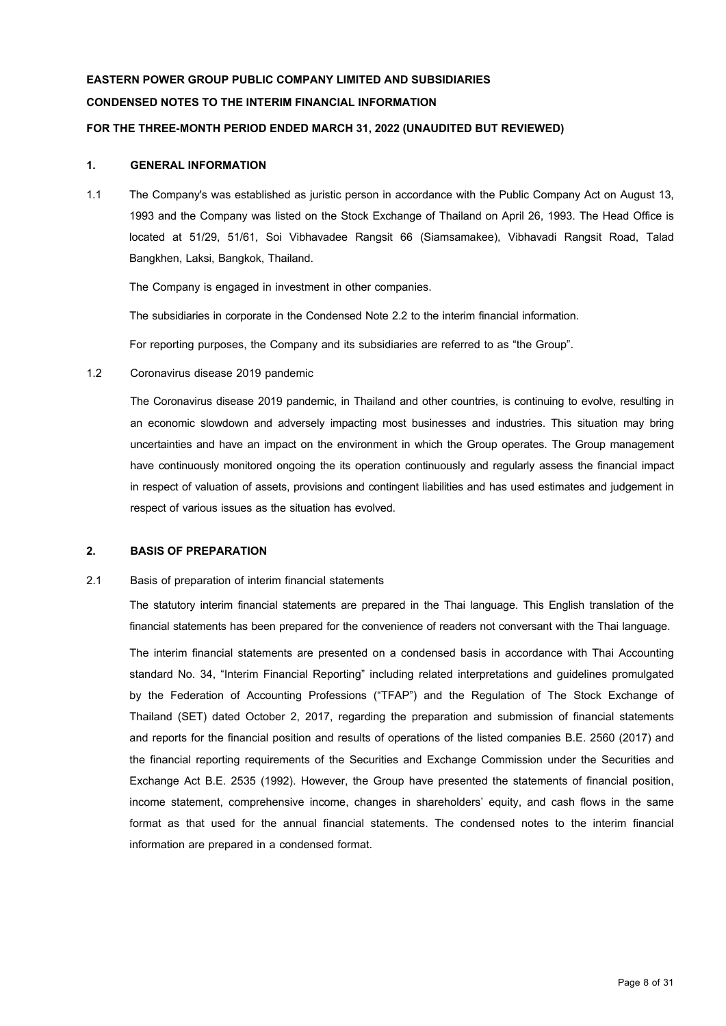# **EASTERN POWER GROUP PUBLIC COMPANY LIMITED AND SUBSIDIARIES CONDENSED NOTES TO THE INTERIM FINANCIAL INFORMATION**

### **FOR THE THREE-MONTH PERIOD ENDED MARCH 31, 2022(UNAUDITED BUT REVIEWED)**

### **1. GENERAL INFORMATION**

1.1 The Company's was established as juristic person in accordance with the Public Company Act on August 13, 1993 and the Company was listed on the Stock Exchange of Thailand on April 26, 1993. The Head Office is located at 51/29, 51/61, Soi Vibhavadee Rangsit 66 (Siamsamakee), Vibhavadi Rangsit Road, Talad Bangkhen, Laksi, Bangkok, Thailand.

The Company is engaged in investment in other companies.

The subsidiaries in corporate in the Condensed Note 2.2 to the interim financial information.

For reporting purposes, the Company and its subsidiaries are referred to as "the Group".

1.2 Coronavirus disease 2019 pandemic

The Coronavirus disease 2019 pandemic, in Thailand and other countries, is continuing to evolve, resulting in an economic slowdown and adversely impacting most businesses and industries. This situation may bring uncertainties and have an impact on the environment in which the Group operates. The Group management have continuously monitored ongoing the its operation continuously and regularly assess the financial impact in respect of valuation of assets, provisions and contingent liabilities and has used estimates and judgement in respect of various issues as the situation has evolved.

### **2. BASIS OF PREPARATION**

2.1 Basis of preparation of interim financial statements

The statutory interim financial statements are prepared in the Thai language. This English translation of the financial statements has been prepared for the convenience of readers not conversant with the Thai language.

The interim financial statements are presented on a condensed basis in accordance with Thai Accounting standard No. 34, "Interim Financial Reporting" including related interpretations and guidelines promulgated by the Federation of Accounting Professions ("TFAP") and the Regulation of The Stock Exchange of Thailand (SET) dated October 2, 2017, regarding the preparation and submission of financial statements and reports for the financial position and results of operations of the listed companies B.E. 2560 (2017) and the financial reporting requirements of the Securities and Exchange Commission under the Securities and Exchange Act B.E. 2535 (1992). However, the Group have presented the statements of financial position, income statement, comprehensive income, changes in shareholders' equity, and cash flows in the same format as that used for the annual financial statements. The condensed notes to the interim financial information are prepared in a condensed format.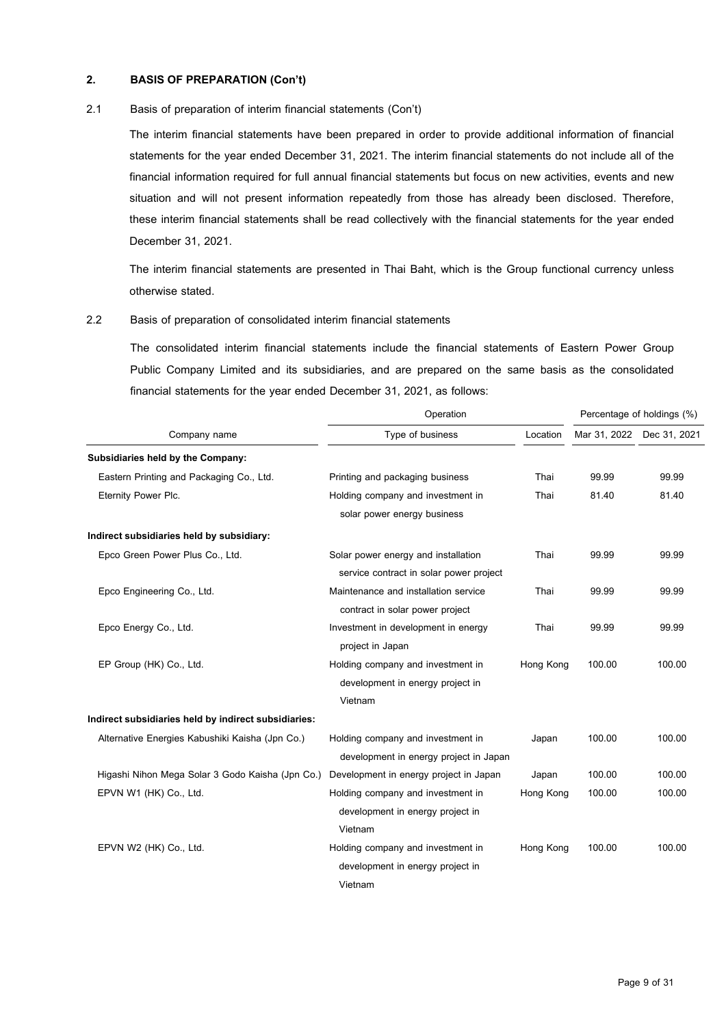### **2. BASIS OF PREPARATION (Con't)**

### 2.1 Basis of preparation of interim financial statements (Con't)

The interim financial statements have been prepared in order to provide additional information of financial statements for the year ended December 31, 2021. The interim financial statements do not include all of the financial information required for full annual financial statements but focus on new activities, events and new situation and will not present information repeatedly from those has already been disclosed. Therefore, these interim financial statements shall be read collectively with the financial statements for the year ended December 31, 2021.

The interim financial statements are presented in Thai Baht, which is the Group functional currency unless otherwise stated.

# 2.2 Basis of preparation of consolidated interim financial statements

The consolidated interim financial statements include the financial statements of Eastern Power Group Public Company Limited and its subsidiaries, and are prepared on the same basis as the consolidated financial statements for the year ended December 31, 2021, as follows:

|                                                      | Operation                               |           | Percentage of holdings (%) |              |  |
|------------------------------------------------------|-----------------------------------------|-----------|----------------------------|--------------|--|
| Company name                                         | Type of business                        | Location  | Mar 31, 2022               | Dec 31, 2021 |  |
| Subsidiaries held by the Company:                    |                                         |           |                            |              |  |
| Eastern Printing and Packaging Co., Ltd.             | Printing and packaging business         | Thai      | 99.99                      | 99.99        |  |
| Eternity Power Plc.                                  | Holding company and investment in       | Thai      | 81.40                      | 81.40        |  |
|                                                      | solar power energy business             |           |                            |              |  |
| Indirect subsidiaries held by subsidiary:            |                                         |           |                            |              |  |
| Epco Green Power Plus Co., Ltd.                      | Solar power energy and installation     | Thai      | 99.99                      | 99.99        |  |
|                                                      | service contract in solar power project |           |                            |              |  |
| Epco Engineering Co., Ltd.                           | Maintenance and installation service    | Thai      | 99.99                      | 99.99        |  |
|                                                      | contract in solar power project         |           |                            |              |  |
| Epco Energy Co., Ltd.                                | Investment in development in energy     | Thai      | 99.99                      | 99.99        |  |
|                                                      | project in Japan                        |           |                            |              |  |
| EP Group (HK) Co., Ltd.                              | Holding company and investment in       | Hong Kong | 100.00                     | 100.00       |  |
|                                                      | development in energy project in        |           |                            |              |  |
|                                                      | Vietnam                                 |           |                            |              |  |
| Indirect subsidiaries held by indirect subsidiaries: |                                         |           |                            |              |  |
| Alternative Energies Kabushiki Kaisha (Jpn Co.)      | Holding company and investment in       | Japan     | 100.00                     | 100.00       |  |
|                                                      | development in energy project in Japan  |           |                            |              |  |
| Higashi Nihon Mega Solar 3 Godo Kaisha (Jpn Co.)     | Development in energy project in Japan  | Japan     | 100.00                     | 100.00       |  |
| EPVN W1 (HK) Co., Ltd.                               | Holding company and investment in       | Hong Kong | 100.00                     | 100.00       |  |
|                                                      | development in energy project in        |           |                            |              |  |
|                                                      | Vietnam                                 |           |                            |              |  |
| EPVN W2 (HK) Co., Ltd.                               | Holding company and investment in       | Hong Kong | 100.00                     | 100.00       |  |
|                                                      | development in energy project in        |           |                            |              |  |
|                                                      | Vietnam                                 |           |                            |              |  |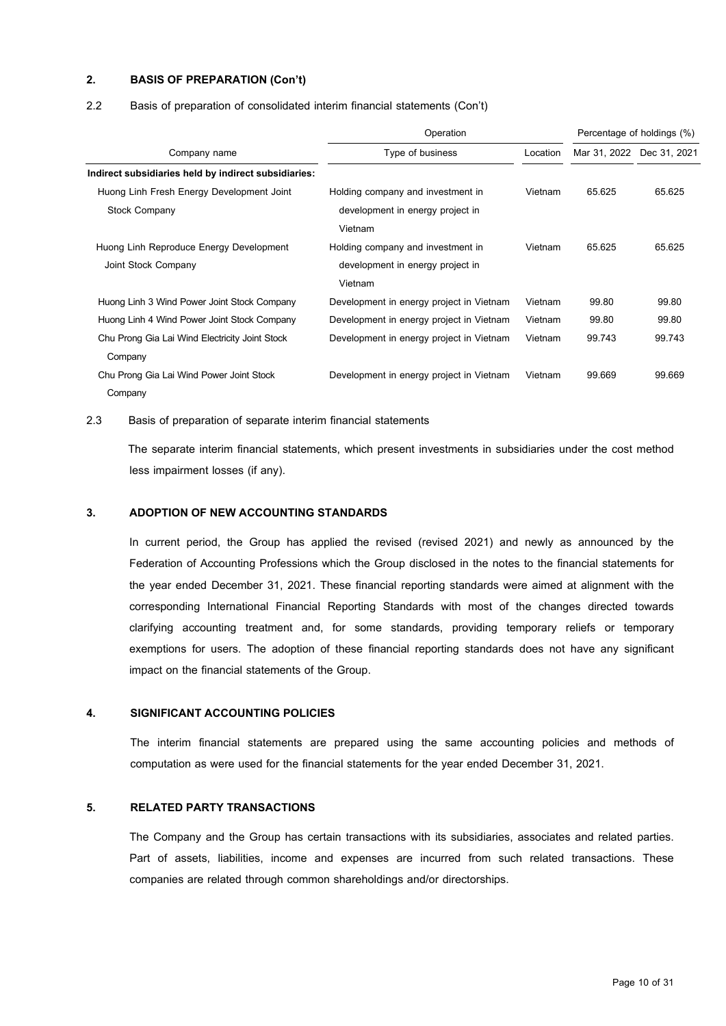### **2. BASIS OF PREPARATION (Con't)**

### 2.2 Basis of preparation of consolidated interim financial statements (Con't)

|                                                      | Operation<br>Percentage of holdings (%)  |          |                           |        |  |
|------------------------------------------------------|------------------------------------------|----------|---------------------------|--------|--|
| Company name                                         | Type of business                         | Location | Mar 31, 2022 Dec 31, 2021 |        |  |
| Indirect subsidiaries held by indirect subsidiaries: |                                          |          |                           |        |  |
| Huong Linh Fresh Energy Development Joint            | Holding company and investment in        | Vietnam  | 65.625                    | 65.625 |  |
| <b>Stock Company</b>                                 | development in energy project in         |          |                           |        |  |
|                                                      | Vietnam                                  |          |                           |        |  |
| Huong Linh Reproduce Energy Development              | Holding company and investment in        | Vietnam  | 65.625                    | 65.625 |  |
| Joint Stock Company                                  | development in energy project in         |          |                           |        |  |
|                                                      | Vietnam                                  |          |                           |        |  |
| Huong Linh 3 Wind Power Joint Stock Company          | Development in energy project in Vietnam | Vietnam  | 99.80                     | 99.80  |  |
| Huong Linh 4 Wind Power Joint Stock Company          | Development in energy project in Vietnam | Vietnam  | 99.80                     | 99.80  |  |
| Chu Prong Gia Lai Wind Electricity Joint Stock       | Development in energy project in Vietnam | Vietnam  | 99.743                    | 99.743 |  |
| Company                                              |                                          |          |                           |        |  |
| Chu Prong Gia Lai Wind Power Joint Stock             | Development in energy project in Vietnam | Vietnam  | 99.669                    | 99.669 |  |
| Company                                              |                                          |          |                           |        |  |

### 2.3 Basis of preparation of separate interim financial statements

 The separate interim financial statements, which present investments in subsidiaries under the cost method less impairment losses (if any).

### **3. ADOPTION OF NEW ACCOUNTING STANDARDS**

In current period, the Group has applied the revised (revised 2021) and newly as announced by the Federation of Accounting Professions which the Group disclosed in the notes to the financial statements for the year ended December 31, 2021. These financial reporting standards were aimed at alignment with the corresponding International Financial Reporting Standards with most of the changes directed towards clarifying accounting treatment and, for some standards, providing temporary reliefs or temporary exemptions for users. The adoption of these financial reporting standards does not have any significant impact on the financial statements of the Group.

### **4. SIGNIFICANT ACCOUNTING POLICIES**

The interim financial statements are prepared using the same accounting policies and methods of computation as were used for the financial statements for the year ended December 31, 2021.

### **5. RELATED PARTY TRANSACTIONS**

The Company and the Group has certain transactions with its subsidiaries, associates and related parties. Part of assets, liabilities, income and expenses are incurred from such related transactions. These companies are related through common shareholdings and/or directorships.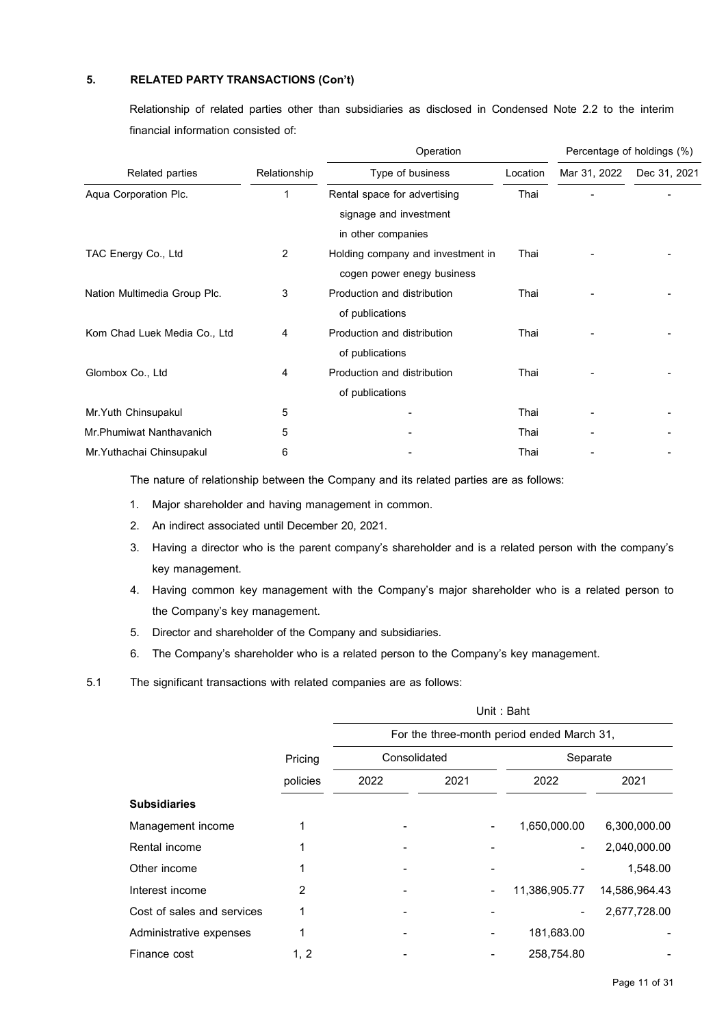Relationship of related parties other than subsidiaries as disclosed in Condensed Note 2.2 to the interim financial information consisted of:

|                              |                | Operation                                                                    |          |              | Percentage of holdings (%) |  |
|------------------------------|----------------|------------------------------------------------------------------------------|----------|--------------|----------------------------|--|
| Related parties              | Relationship   | Type of business                                                             | Location | Mar 31, 2022 | Dec 31, 2021               |  |
| Aqua Corporation Plc.        | 1              | Rental space for advertising<br>signage and investment<br>in other companies | Thai     |              |                            |  |
| TAC Energy Co., Ltd          | 2              | Holding company and investment in<br>cogen power enegy business              | Thai     |              |                            |  |
| Nation Multimedia Group Plc. | 3              | Production and distribution<br>of publications                               | Thai     |              |                            |  |
| Kom Chad Luek Media Co., Ltd | $\overline{4}$ | Production and distribution<br>of publications                               | Thai     |              |                            |  |
| Glombox Co., Ltd             | 4              | Production and distribution<br>of publications                               | Thai     |              |                            |  |
| Mr.Yuth Chinsupakul          | 5              |                                                                              | Thai     |              |                            |  |
| Mr.Phumiwat Nanthavanich     | 5              |                                                                              | Thai     |              |                            |  |
| Mr.Yuthachai Chinsupakul     | 6              |                                                                              | Thai     |              |                            |  |

The nature of relationship between the Company and its related parties are as follows:

- 1. Major shareholder and having management in common.
- 2. An indirect associated until December 20, 2021.
- 3. Having a director who is the parent company's shareholder and is a related person with the company's key management.
- 4. Having common key management with the Company's major shareholder who is a related person to the Company's key management.
- 5. Director and shareholder of the Company and subsidiaries.
- 6. The Company's shareholder who is a related person to the Company's key management.
- 5.1 The significant transactions with related companies are as follows:

|                            |          | Unit: Baht                                 |      |               |               |  |  |  |
|----------------------------|----------|--------------------------------------------|------|---------------|---------------|--|--|--|
|                            |          | For the three-month period ended March 31, |      |               |               |  |  |  |
|                            | Pricing  | Consolidated                               |      | Separate      |               |  |  |  |
|                            | policies | 2022                                       | 2021 | 2022          | 2021          |  |  |  |
| <b>Subsidiaries</b>        |          |                                            |      |               |               |  |  |  |
| Management income          |          |                                            |      | 1,650,000.00  | 6,300,000.00  |  |  |  |
| Rental income              |          |                                            |      | Ξ.            | 2,040,000.00  |  |  |  |
| Other income               |          |                                            |      |               | 1,548.00      |  |  |  |
| Interest income            | 2        |                                            |      | 11,386,905.77 | 14,586,964.43 |  |  |  |
| Cost of sales and services |          |                                            |      |               | 2,677,728.00  |  |  |  |
| Administrative expenses    |          |                                            |      | 181,683.00    |               |  |  |  |
| Finance cost               | 1, 2     |                                            |      | 258,754.80    |               |  |  |  |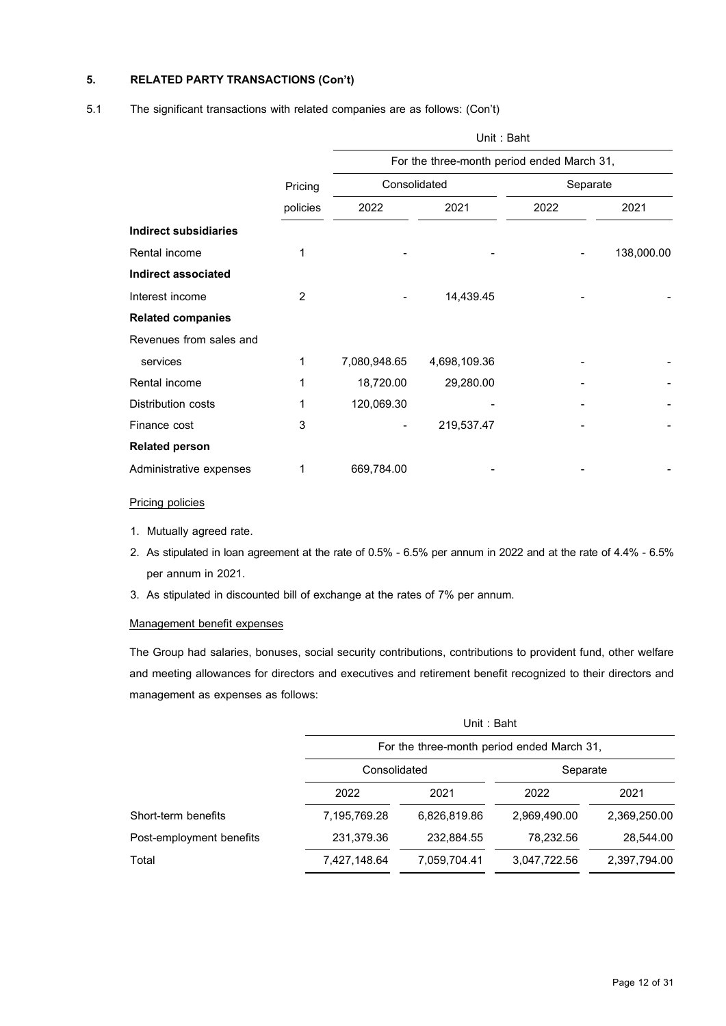# Pricing policies Unit : Baht For the three-month period ended March 31, Consolidated Separate 2022 2021 2022 2021 **Indirect subsidiaries** Rental income 1 - - - 138,000.00 **Indirect associated** Interest income 2 - 14,439.45 - - **Related companies** Revenues from sales and services 1 7,080,948.65 4,698,109.36 - - Rental income 1 18,720.00 29,280.00 - - Distribution costs 1 120,069.30 Finance cost 3 - 219,537.47 - - **Related person** Administrative expenses 1 669,784.00

### 5.1 The significant transactions with related companies are as follows: (Con't)

### Pricing policies

- 1. Mutually agreed rate.
- 2. As stipulated in loan agreement at the rate of 0.5% 6.5% per annum in 2022 and at the rate of 4.4% 6.5% per annum in 2021.
- 3. As stipulated in discounted bill of exchange at the rates of 7% per annum.

### Management benefit expenses

The Group had salaries, bonuses, social security contributions, contributions to provident fund, other welfare and meeting allowances for directors and executives and retirement benefit recognized to their directors and management as expenses as follows:

|                          |              | Unit: Baht                                 |              |              |  |  |  |  |  |
|--------------------------|--------------|--------------------------------------------|--------------|--------------|--|--|--|--|--|
|                          |              | For the three-month period ended March 31, |              |              |  |  |  |  |  |
|                          | Consolidated |                                            |              | Separate     |  |  |  |  |  |
|                          | 2022         | 2021                                       | 2022         | 2021         |  |  |  |  |  |
| Short-term benefits      | 7,195,769.28 | 6,826,819.86                               | 2,969,490.00 | 2,369,250.00 |  |  |  |  |  |
| Post-employment benefits | 231,379.36   | 232,884.55                                 | 78,232.56    | 28,544.00    |  |  |  |  |  |
| Total                    | 7,427,148.64 | 7,059,704.41                               | 3,047,722.56 | 2,397,794.00 |  |  |  |  |  |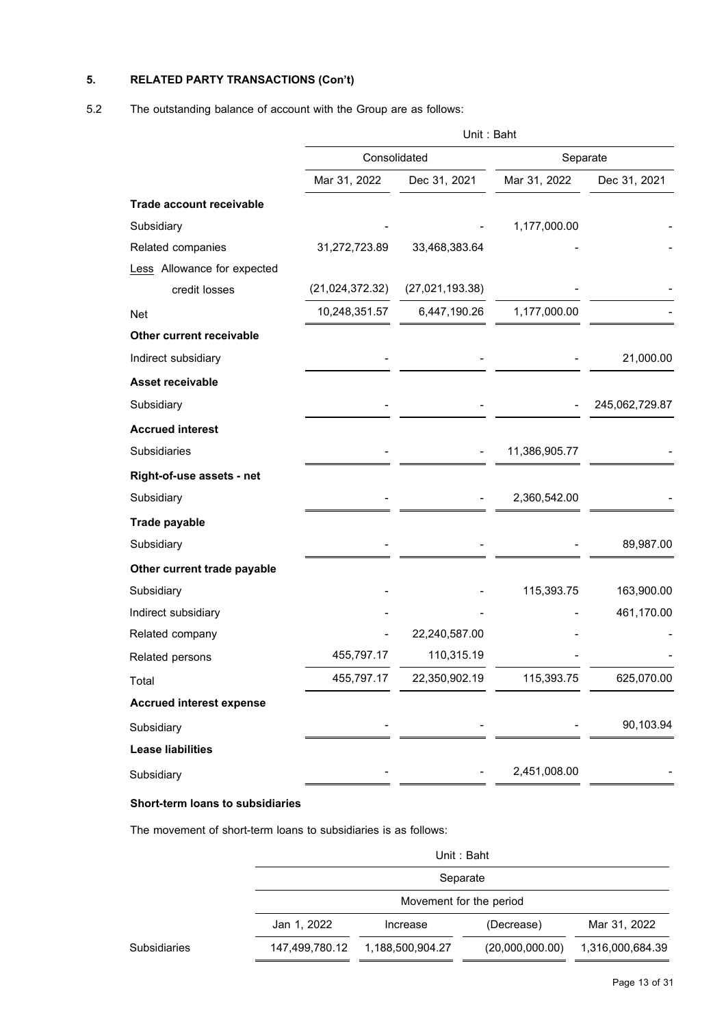# 5.2 The outstanding balance of account with the Group are as follows:

|                                 | Unit: Baht        |                 |               |                |  |
|---------------------------------|-------------------|-----------------|---------------|----------------|--|
|                                 | Consolidated      |                 | Separate      |                |  |
|                                 | Mar 31, 2022      | Dec 31, 2021    | Mar 31, 2022  | Dec 31, 2021   |  |
| <b>Trade account receivable</b> |                   |                 |               |                |  |
| Subsidiary                      |                   |                 | 1,177,000.00  |                |  |
| Related companies               | 31,272,723.89     | 33,468,383.64   |               |                |  |
| Less Allowance for expected     |                   |                 |               |                |  |
| credit losses                   | (21, 024, 372.32) | (27,021,193.38) |               |                |  |
| <b>Net</b>                      | 10,248,351.57     | 6,447,190.26    | 1,177,000.00  |                |  |
| Other current receivable        |                   |                 |               |                |  |
| Indirect subsidiary             |                   |                 |               | 21,000.00      |  |
| <b>Asset receivable</b>         |                   |                 |               |                |  |
| Subsidiary                      |                   |                 |               | 245,062,729.87 |  |
| <b>Accrued interest</b>         |                   |                 |               |                |  |
| Subsidiaries                    |                   |                 | 11,386,905.77 |                |  |
| Right-of-use assets - net       |                   |                 |               |                |  |
| Subsidiary                      |                   |                 | 2,360,542.00  |                |  |
| <b>Trade payable</b>            |                   |                 |               |                |  |
| Subsidiary                      |                   |                 |               | 89,987.00      |  |
| Other current trade payable     |                   |                 |               |                |  |
| Subsidiary                      |                   |                 | 115,393.75    | 163,900.00     |  |
| Indirect subsidiary             |                   |                 |               | 461,170.00     |  |
| Related company                 |                   | 22,240,587.00   |               |                |  |
| Related persons                 | 455,797.17        | 110,315.19      |               |                |  |
| Total                           | 455,797.17        | 22,350,902.19   | 115,393.75    | 625,070.00     |  |
| <b>Accrued interest expense</b> |                   |                 |               |                |  |
| Subsidiary                      |                   |                 |               | 90,103.94      |  |
| <b>Lease liabilities</b>        |                   |                 |               |                |  |
| Subsidiary                      |                   |                 | 2,451,008.00  |                |  |

# **Short-term loans to subsidiaries**

The movement of short-term loans to subsidiaries is as follows:

|              |                | Unit: Baht              |                 |                  |  |  |  |
|--------------|----------------|-------------------------|-----------------|------------------|--|--|--|
|              |                | Separate                |                 |                  |  |  |  |
|              |                | Movement for the period |                 |                  |  |  |  |
|              | Jan 1, 2022    | Increase                | (Decrease)      | Mar 31, 2022     |  |  |  |
| Subsidiaries | 147,499,780.12 | 1,188,500,904.27        | (20,000,000.00) | 1,316,000,684.39 |  |  |  |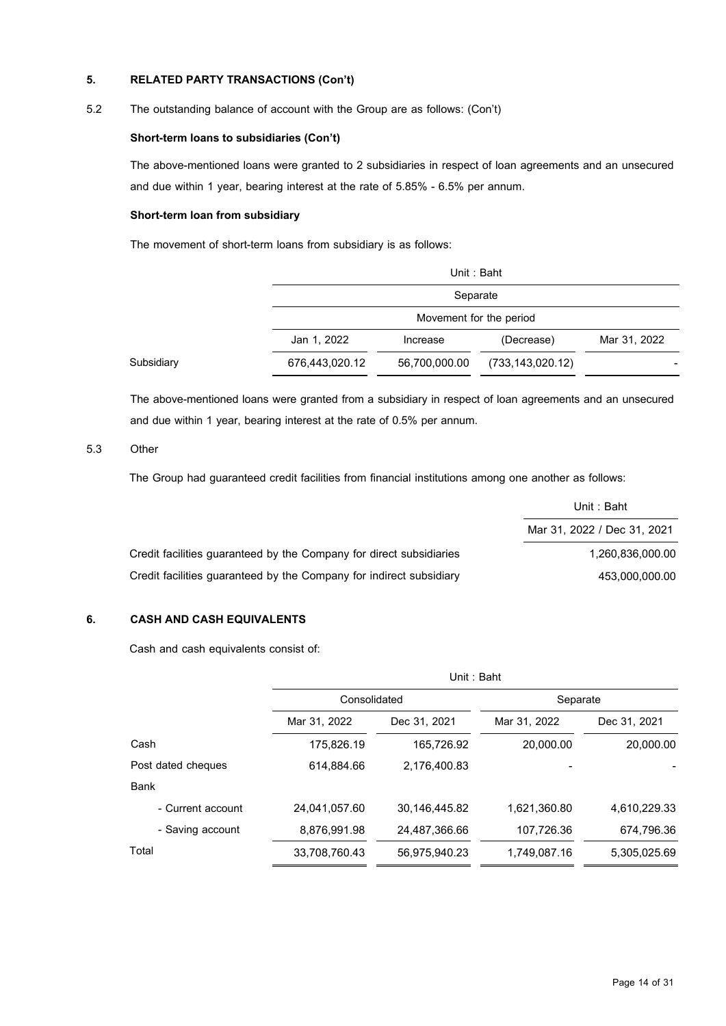### 5.2 The outstanding balance of account with the Group are as follows: (Con't)

### **Short-term loans to subsidiaries (Con't)**

The above-mentioned loans were granted to 2 subsidiaries in respect of loan agreements and an unsecured and due within 1 year, bearing interest at the rate of 5.85% - 6.5% per annum.

### **Short-term loan from subsidiary**

The movement of short-term loans from subsidiary is as follows:

|            |                | Unit: Baht                          |                    |              |  |  |  |
|------------|----------------|-------------------------------------|--------------------|--------------|--|--|--|
|            |                | Separate<br>Movement for the period |                    |              |  |  |  |
|            |                |                                     |                    |              |  |  |  |
|            | Jan 1, 2022    | Increase                            | (Decrease)         | Mar 31, 2022 |  |  |  |
| Subsidiary | 676,443,020.12 | 56,700,000.00                       | (733, 143, 020.12) |              |  |  |  |

The above-mentioned loans were granted from a subsidiary in respect of loan agreements and an unsecured and due within 1 year, bearing interest at the rate of 0.5% per annum.

### 5.3 Other

The Group had guaranteed credit facilities from financial institutions among one another as follows:

|                                                                     | Unit : Baht                 |
|---------------------------------------------------------------------|-----------------------------|
|                                                                     | Mar 31, 2022 / Dec 31, 2021 |
| Credit facilities quaranteed by the Company for direct subsidiaries | 1.260.836.000.00            |
| Credit facilities quaranteed by the Company for indirect subsidiary | 453.000.000.00              |

# **6. CASH AND CASH EQUIVALENTS**

Cash and cash equivalents consist of:

|                    | Unit: Baht    |               |              |              |  |  |
|--------------------|---------------|---------------|--------------|--------------|--|--|
|                    | Consolidated  |               | Separate     |              |  |  |
|                    | Mar 31, 2022  | Dec 31, 2021  | Mar 31, 2022 | Dec 31, 2021 |  |  |
| Cash               | 175,826.19    | 165,726.92    | 20,000.00    | 20,000.00    |  |  |
| Post dated cheques | 614,884.66    | 2.176.400.83  |              |              |  |  |
| Bank               |               |               |              |              |  |  |
| - Current account  | 24,041,057.60 | 30,146,445.82 | 1,621,360.80 | 4,610,229.33 |  |  |
| - Saving account   | 8,876,991.98  | 24,487,366.66 | 107,726.36   | 674,796.36   |  |  |
| Total              | 33,708,760.43 | 56,975,940.23 | 1,749,087.16 | 5,305,025.69 |  |  |
|                    |               |               |              |              |  |  |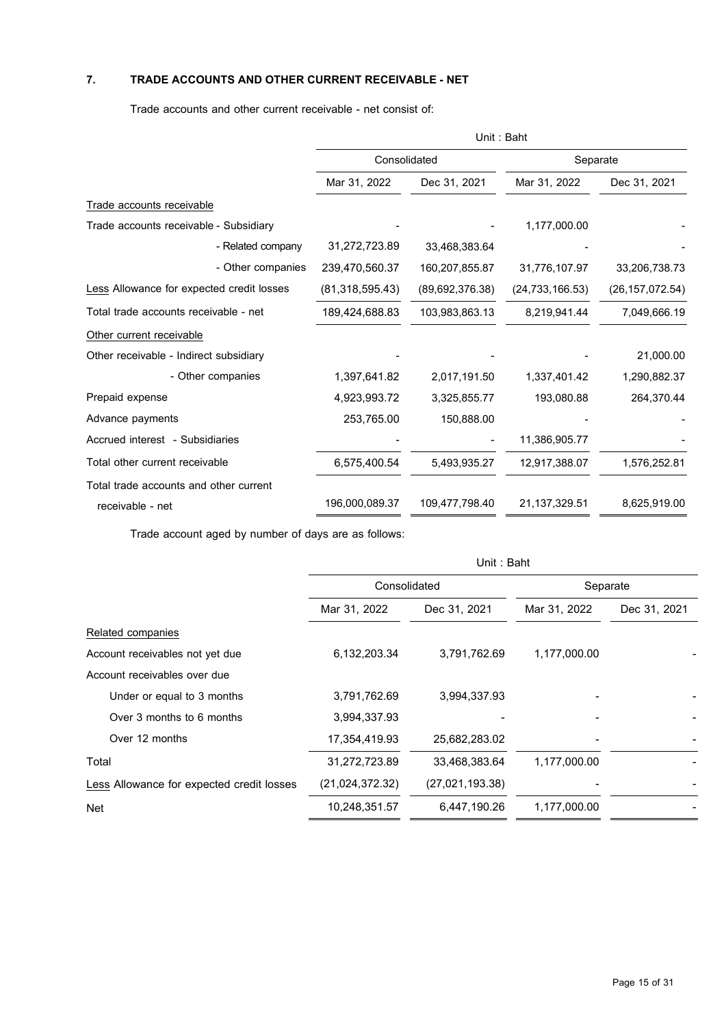# **7. TRADE ACCOUNTS AND OTHER CURRENT RECEIVABLE - NET**

Trade accounts and other current receivable - net consist of:

|                                           | Unit: Baht        |                   |                   |                   |
|-------------------------------------------|-------------------|-------------------|-------------------|-------------------|
|                                           | Consolidated      |                   | Separate          |                   |
|                                           | Mar 31, 2022      | Dec 31, 2021      | Mar 31, 2022      | Dec 31, 2021      |
| Trade accounts receivable                 |                   |                   |                   |                   |
| Trade accounts receivable - Subsidiary    |                   |                   | 1,177,000.00      |                   |
| - Related company                         | 31,272,723.89     | 33,468,383.64     |                   |                   |
| - Other companies                         | 239,470,560.37    | 160,207,855.87    | 31,776,107.97     | 33,206,738.73     |
| Less Allowance for expected credit losses | (81, 318, 595.43) | (89, 692, 376.38) | (24, 733, 166.53) | (26, 157, 072.54) |
| Total trade accounts receivable - net     | 189,424,688.83    | 103,983,863.13    | 8,219,941.44      | 7,049,666.19      |
| Other current receivable                  |                   |                   |                   |                   |
| Other receivable - Indirect subsidiary    |                   |                   |                   | 21,000.00         |
| - Other companies                         | 1,397,641.82      | 2,017,191.50      | 1,337,401.42      | 1,290,882.37      |
| Prepaid expense                           | 4,923,993.72      | 3,325,855.77      | 193,080.88        | 264,370.44        |
| Advance payments                          | 253,765.00        | 150,888.00        |                   |                   |
| Accrued interest - Subsidiaries           |                   |                   | 11,386,905.77     |                   |
| Total other current receivable            | 6,575,400.54      | 5,493,935.27      | 12,917,388.07     | 1,576,252.81      |
| Total trade accounts and other current    |                   |                   |                   |                   |
| receivable - net                          | 196,000,089.37    | 109,477,798.40    | 21,137,329.51     | 8,625,919.00      |

Trade account aged by number of days are as follows:

|                                           | Unit: Baht      |                 |              |              |  |
|-------------------------------------------|-----------------|-----------------|--------------|--------------|--|
|                                           | Consolidated    |                 | Separate     |              |  |
|                                           | Mar 31, 2022    | Dec 31, 2021    | Mar 31, 2022 | Dec 31, 2021 |  |
| Related companies                         |                 |                 |              |              |  |
| Account receivables not yet due           | 6,132,203.34    | 3,791,762.69    | 1,177,000.00 |              |  |
| Account receivables over due              |                 |                 |              |              |  |
| Under or equal to 3 months                | 3,791,762.69    | 3,994,337.93    |              |              |  |
| Over 3 months to 6 months                 | 3,994,337.93    |                 |              |              |  |
| Over 12 months                            | 17,354,419.93   | 25,682,283.02   |              |              |  |
| Total                                     | 31,272,723.89   | 33,468,383.64   | 1,177,000.00 |              |  |
| Less Allowance for expected credit losses | (21,024,372.32) | (27,021,193.38) |              |              |  |
| Net                                       | 10,248,351.57   | 6,447,190.26    | 1,177,000.00 |              |  |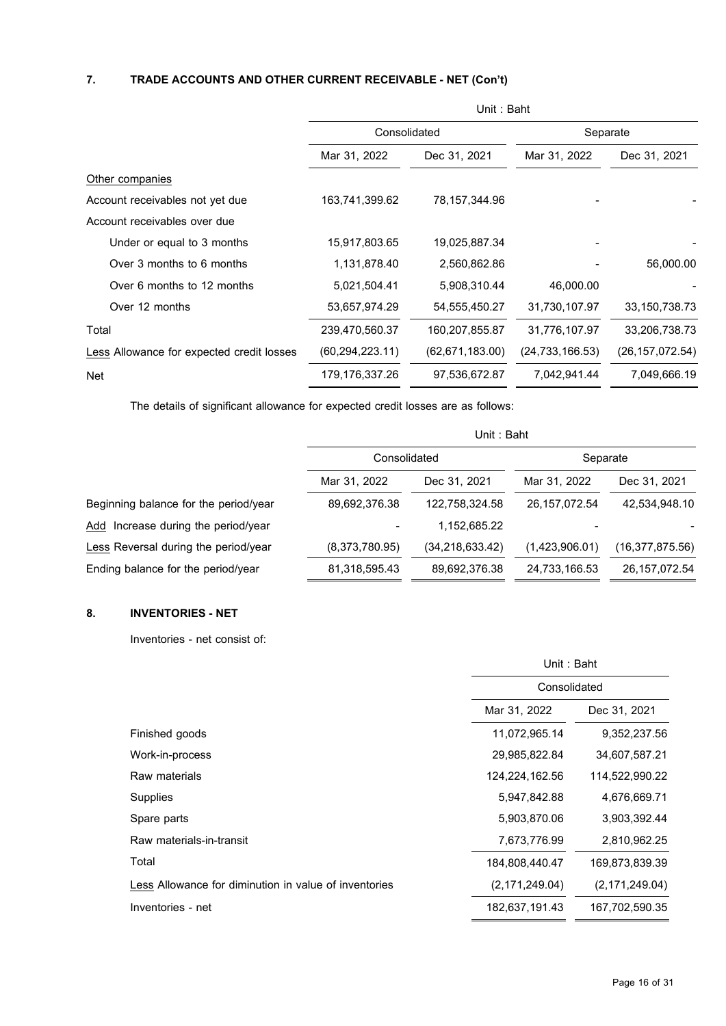# **7. TRADE ACCOUNTS AND OTHER CURRENT RECEIVABLE - NET(Con't)**

|                                           | Unit: Baht        |                   |                   |                   |  |
|-------------------------------------------|-------------------|-------------------|-------------------|-------------------|--|
|                                           | Consolidated      |                   | Separate          |                   |  |
|                                           | Mar 31, 2022      | Dec 31, 2021      | Mar 31, 2022      | Dec 31, 2021      |  |
| Other companies                           |                   |                   |                   |                   |  |
| Account receivables not yet due           | 163,741,399.62    | 78,157,344.96     |                   |                   |  |
| Account receivables over due              |                   |                   |                   |                   |  |
| Under or equal to 3 months                | 15,917,803.65     | 19,025,887.34     |                   |                   |  |
| Over 3 months to 6 months                 | 1,131,878.40      | 2,560,862.86      |                   | 56,000.00         |  |
| Over 6 months to 12 months                | 5,021,504.41      | 5,908,310.44      | 46,000.00         |                   |  |
| Over 12 months                            | 53,657,974.29     | 54, 555, 450. 27  | 31,730,107.97     | 33, 150, 738. 73  |  |
| Total                                     | 239,470,560.37    | 160,207,855.87    | 31,776,107.97     | 33,206,738.73     |  |
| Less Allowance for expected credit losses | (60, 294, 223.11) | (62, 671, 183.00) | (24, 733, 166.53) | (26, 157, 072.54) |  |
| Net                                       | 179,176,337.26    | 97,536,672.87     | 7,042,941.44      | 7,049,666.19      |  |

The details of significant allowance for expected credit losses are as follows:

|                                       | Unit: Baht     |                   |                 |                   |  |  |
|---------------------------------------|----------------|-------------------|-----------------|-------------------|--|--|
|                                       | Consolidated   |                   | Separate        |                   |  |  |
|                                       | Mar 31, 2022   | Dec 31, 2021      | Mar 31, 2022    | Dec 31, 2021      |  |  |
| Beginning balance for the period/year | 89,692,376.38  | 122.758.324.58    | 26, 157, 072.54 | 42.534.948.10     |  |  |
| Add Increase during the period/year   |                | 1,152,685.22      |                 |                   |  |  |
| Less Reversal during the period/year  | (8,373,780.95) | (34, 218, 633.42) | (1,423,906.01)  | (16, 377, 875.56) |  |  |
| Ending balance for the period/year    | 81,318,595.43  | 89,692,376.38     | 24,733,166.53   | 26, 157, 072.54   |  |  |

# **8. INVENTORIES - NET**

Inventories - net consist of:

|                                                       | Unit: Baht                   |                  |  |
|-------------------------------------------------------|------------------------------|------------------|--|
|                                                       | Consolidated                 |                  |  |
|                                                       | Mar 31, 2022<br>Dec 31, 2021 |                  |  |
| Finished goods                                        | 11,072,965.14                | 9,352,237.56     |  |
| Work-in-process                                       | 29,985,822.84                | 34,607,587.21    |  |
| Raw materials                                         | 124,224,162.56               | 114,522,990.22   |  |
| Supplies                                              | 5,947,842.88                 | 4,676,669.71     |  |
| Spare parts                                           | 5,903,870.06                 | 3,903,392.44     |  |
| Raw materials-in-transit                              | 7,673,776.99                 | 2,810,962.25     |  |
| Total                                                 | 184,808,440.47               | 169,873,839.39   |  |
| Less Allowance for diminution in value of inventories | (2, 171, 249.04)             | (2, 171, 249.04) |  |
| Inventories - net                                     | 182,637,191.43               | 167,702,590.35   |  |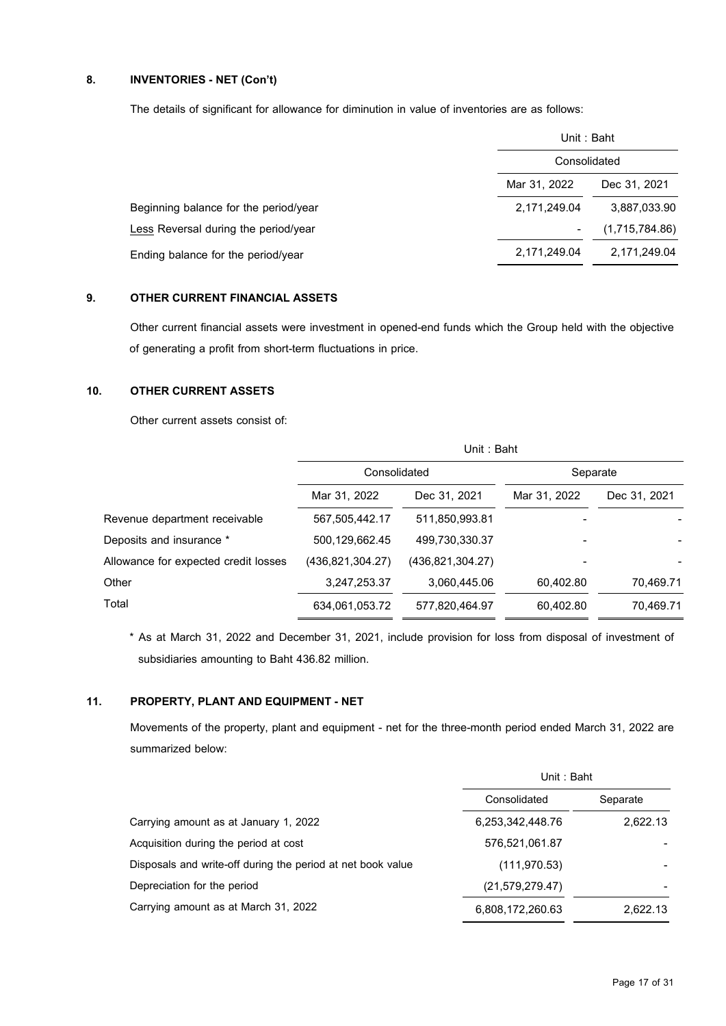# **8. INVENTORIES - NET(Con't)**

The details of significant for allowance for diminution in value of inventories are as follows:

|                                       | Unit: Baht                   |                |  |
|---------------------------------------|------------------------------|----------------|--|
|                                       | Consolidated                 |                |  |
|                                       | Mar 31, 2022<br>Dec 31, 2021 |                |  |
| Beginning balance for the period/year | 2,171,249.04                 | 3,887,033.90   |  |
| Less Reversal during the period/year  |                              | (1,715,784.86) |  |
| Ending balance for the period/year    | 2,171,249.04                 | 2,171,249.04   |  |

### **9. OTHER CURRENT FINANCIAL ASSETS**

Other current financial assets were investment in opened-end funds which the Group held with the objective of generating a profit from short-term fluctuations in price.

# **10. OTHER CURRENT ASSETS**

Other current assets consist of:

|                                      | Unit: Baht       |                    |              |              |  |  |
|--------------------------------------|------------------|--------------------|--------------|--------------|--|--|
|                                      | Consolidated     |                    | Separate     |              |  |  |
|                                      | Mar 31, 2022     | Dec 31, 2021       | Mar 31, 2022 | Dec 31, 2021 |  |  |
| Revenue department receivable        | 567,505,442.17   | 511,850,993.81     |              |              |  |  |
| Deposits and insurance *             | 500,129,662.45   | 499.730.330.37     |              |              |  |  |
| Allowance for expected credit losses | (436,821,304.27) | (436, 821, 304.27) |              |              |  |  |
| Other                                | 3,247,253.37     | 3,060,445.06       | 60,402.80    | 70.469.71    |  |  |
| Total                                | 634,061,053.72   | 577,820,464.97     | 60,402.80    | 70,469.71    |  |  |

\* As at March 31, 2022 and December 31, 2021, include provision for loss from disposal of investment of subsidiaries amounting to Baht 436.82 million.

## **11. PROPERTY, PLANT AND EQUIPMENT - NET**

Movements of the property, plant and equipment - net for the three-month period ended March 31, 2022 are summarized below:

|                                                             | Unit: Baht         |          |  |
|-------------------------------------------------------------|--------------------|----------|--|
|                                                             | Consolidated       | Separate |  |
| Carrying amount as at January 1, 2022                       | 6,253,342,448.76   | 2,622.13 |  |
| Acquisition during the period at cost                       | 576,521,061.87     |          |  |
| Disposals and write-off during the period at net book value | (111, 970.53)      |          |  |
| Depreciation for the period                                 | (21, 579, 279, 47) |          |  |
| Carrying amount as at March 31, 2022                        | 6,808,172,260.63   | 2.622.13 |  |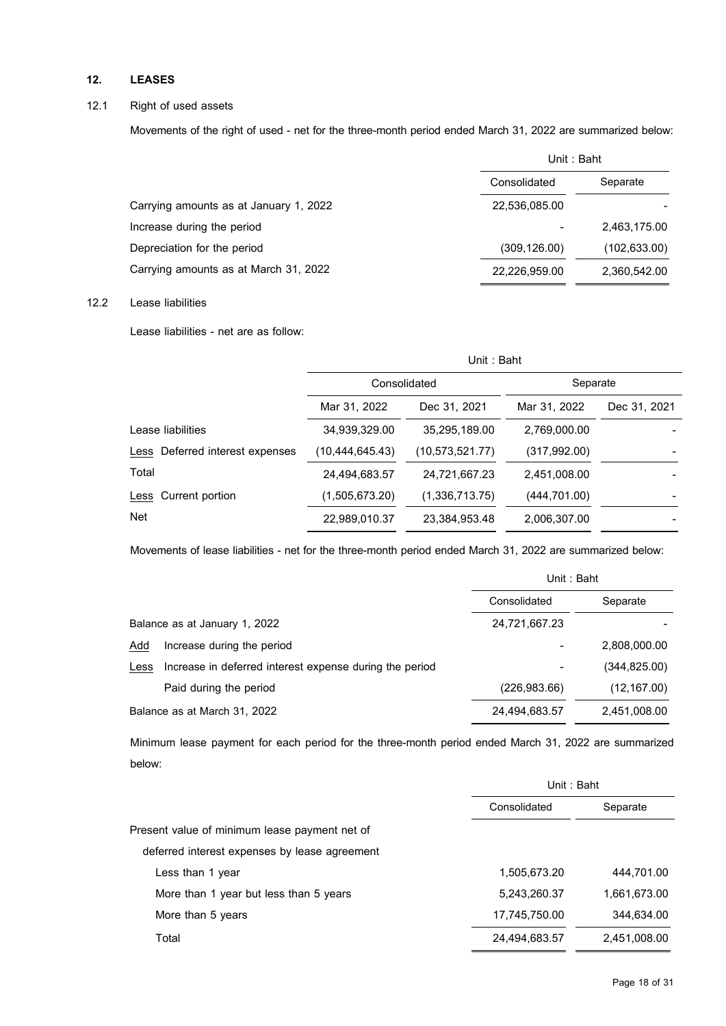# **12. LEASES**

### 12.1 Right of used assets

Movements of the right of used - net for the three-month period ended March 31, 2022 are summarized below:

|                                        | Unit: Baht    |               |  |
|----------------------------------------|---------------|---------------|--|
|                                        | Consolidated  | Separate      |  |
| Carrying amounts as at January 1, 2022 | 22.536.085.00 |               |  |
| Increase during the period             |               | 2,463,175.00  |  |
| Depreciation for the period            | (309, 126.00) | (102, 633.00) |  |
| Carrying amounts as at March 31, 2022  | 22,226,959.00 | 2,360,542.00  |  |

# 12.2 Lease liabilities

Lease liabilities - net are as follow:

|                                 | Unit: Baht      |                   |               |              |  |  |
|---------------------------------|-----------------|-------------------|---------------|--------------|--|--|
|                                 | Consolidated    |                   | Separate      |              |  |  |
|                                 | Mar 31, 2022    | Dec 31, 2021      | Mar 31, 2022  | Dec 31, 2021 |  |  |
| Lease liabilities               | 34,939,329.00   | 35.295.189.00     | 2,769,000.00  |              |  |  |
| Less Deferred interest expenses | (10,444,645.43) | (10, 573, 521.77) | (317, 992.00) |              |  |  |
| Total                           | 24,494,683.57   | 24,721,667.23     | 2,451,008.00  |              |  |  |
| Less Current portion            | (1,505,673.20)  | (1,336,713.75)    | (444, 701.00) |              |  |  |
| <b>Net</b>                      | 22,989,010.37   | 23,384,953.48     | 2,006,307.00  |              |  |  |

Movements of lease liabilities - net for the three-month period ended March 31, 2022 are summarized below:

|      |                                                         | Unit: Baht    |              |
|------|---------------------------------------------------------|---------------|--------------|
|      |                                                         | Consolidated  | Separate     |
|      | Balance as at January 1, 2022                           | 24,721,667.23 |              |
| Add  | Increase during the period                              |               | 2,808,000.00 |
| Less | Increase in deferred interest expense during the period |               | (344,825.00) |
|      | Paid during the period                                  | (226, 983.66) | (12, 167.00) |
|      | Balance as at March 31, 2022                            | 24,494,683.57 | 2,451,008.00 |

Minimum lease payment for each period for the three-month period ended March 31, 2022 are summarized below:

|                                               | Unit: Baht    |              |  |
|-----------------------------------------------|---------------|--------------|--|
|                                               | Consolidated  | Separate     |  |
| Present value of minimum lease payment net of |               |              |  |
| deferred interest expenses by lease agreement |               |              |  |
| Less than 1 year                              | 1,505,673.20  | 444,701.00   |  |
| More than 1 year but less than 5 years        | 5,243,260.37  | 1,661,673.00 |  |
| More than 5 years                             | 17,745,750.00 | 344,634.00   |  |
| Total                                         | 24,494,683.57 | 2,451,008.00 |  |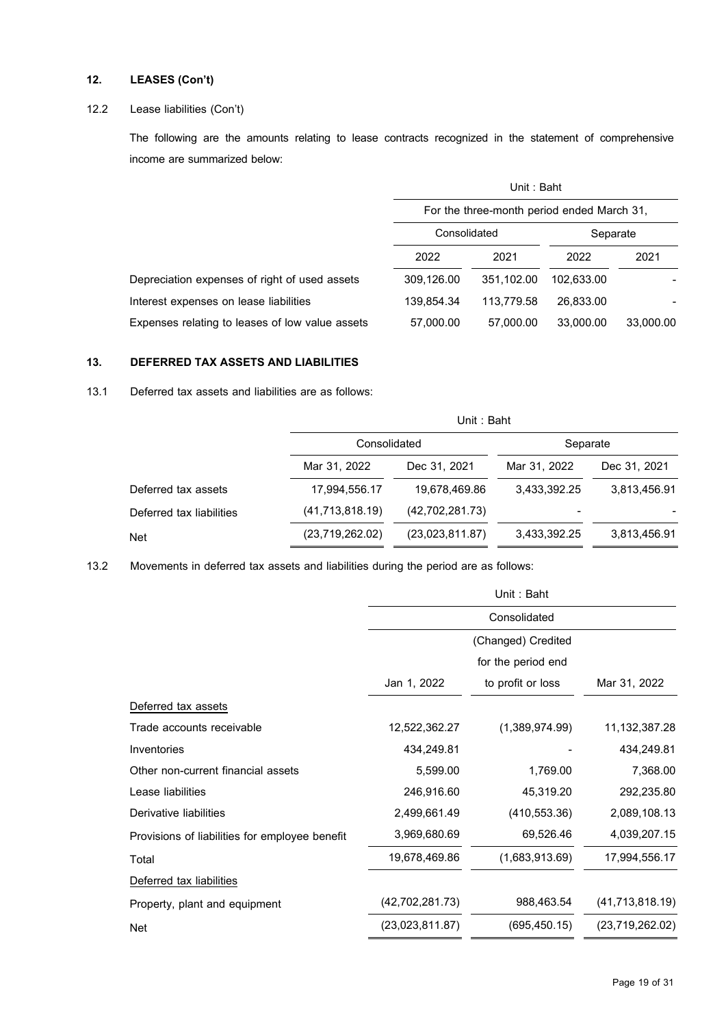# **12. LEASES (Con't)**

# 12.2 Lease liabilities (Con't)

The following are the amounts relating to lease contracts recognized in the statement of comprehensive income are summarized below:

|                                                 | Unit: Baht                                 |            |            |           |
|-------------------------------------------------|--------------------------------------------|------------|------------|-----------|
|                                                 | For the three-month period ended March 31, |            |            |           |
|                                                 | Consolidated<br>Separate                   |            |            |           |
|                                                 | 2022                                       | 2021       | 2022       | 2021      |
| Depreciation expenses of right of used assets   | 309,126.00                                 | 351.102.00 | 102.633.00 |           |
| Interest expenses on lease liabilities          | 139.854.34                                 | 113.779.58 | 26.833.00  |           |
| Expenses relating to leases of low value assets | 57,000.00                                  | 57,000.00  | 33,000.00  | 33,000.00 |

### **13. DEFERRED TAX ASSETS AND LIABILITIES**

13.1 Deferred tax assets and liabilities are as follows:

|                          |                   | Unit : Baht     |              |              |  |  |  |
|--------------------------|-------------------|-----------------|--------------|--------------|--|--|--|
|                          | Consolidated      |                 | Separate     |              |  |  |  |
|                          | Mar 31, 2022      | Dec 31, 2021    | Mar 31, 2022 | Dec 31, 2021 |  |  |  |
| Deferred tax assets      | 17,994,556.17     | 19,678,469.86   | 3,433,392.25 | 3,813,456.91 |  |  |  |
| Deferred tax liabilities | (41, 713, 818.19) | (42,702,281.73) | ۰            |              |  |  |  |
| <b>Net</b>               | (23,719,262.02)   | (23,023,811.87) | 3,433,392.25 | 3,813,456.91 |  |  |  |

13.2 Movements in deferred tax assets and liabilities during the period are as follows:

|                                                | Unit: Baht        |                    |                   |  |  |
|------------------------------------------------|-------------------|--------------------|-------------------|--|--|
|                                                |                   | Consolidated       |                   |  |  |
|                                                |                   | (Changed) Credited |                   |  |  |
|                                                |                   | for the period end |                   |  |  |
|                                                | Jan 1, 2022       | to profit or loss  | Mar 31, 2022      |  |  |
| Deferred tax assets                            |                   |                    |                   |  |  |
| Trade accounts receivable                      | 12,522,362.27     | (1,389,974.99)     | 11, 132, 387. 28  |  |  |
| Inventories                                    | 434,249.81        |                    | 434,249.81        |  |  |
| Other non-current financial assets             | 5,599.00          | 1,769.00           | 7,368.00          |  |  |
| Lease liabilities                              | 246,916.60        | 45,319.20          | 292,235.80        |  |  |
| Derivative liabilities                         | 2,499,661.49      | (410, 553.36)      | 2,089,108.13      |  |  |
| Provisions of liabilities for employee benefit | 3,969,680.69      | 69,526.46          | 4,039,207.15      |  |  |
| Total                                          | 19,678,469.86     | (1,683,913.69)     | 17,994,556.17     |  |  |
| Deferred tax liabilities                       |                   |                    |                   |  |  |
| Property, plant and equipment                  | (42, 702, 281.73) | 988,463.54         | (41, 713, 818.19) |  |  |
| <b>Net</b>                                     | (23,023,811.87)   | (695, 450.15)      | (23,719,262.02)   |  |  |
|                                                |                   |                    |                   |  |  |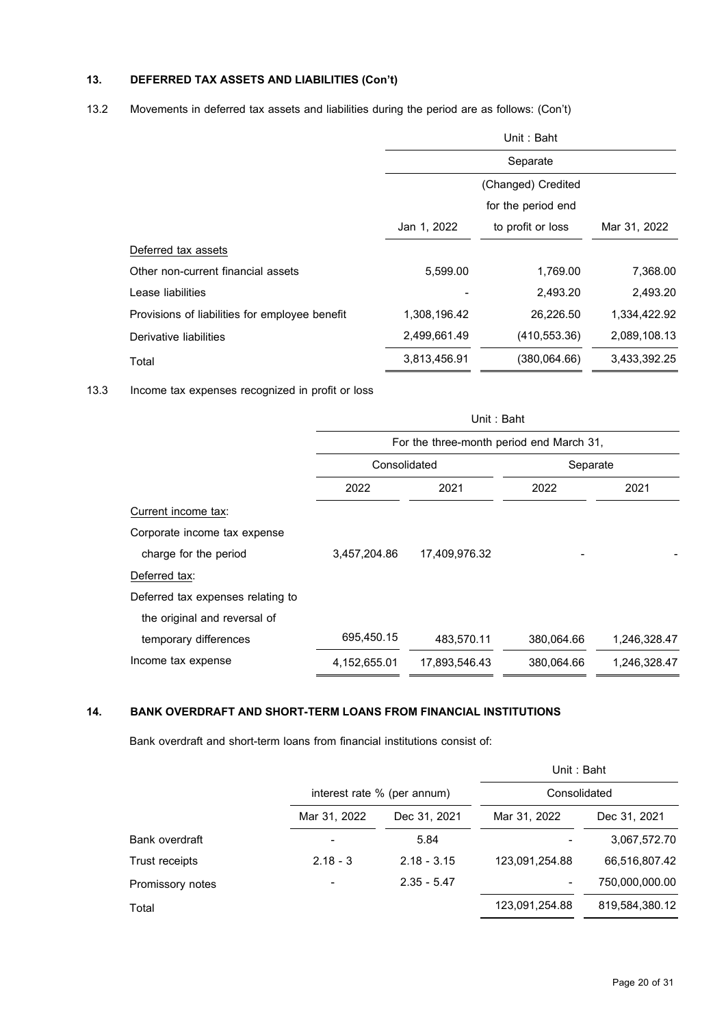# **13. DEFERRED TAX ASSETS AND LIABILITIES (Con't)**

13.2 Movements in deferred tax assets and liabilities during the period are as follows: (Con't)

|                                                | Unit: Baht         |                    |              |  |
|------------------------------------------------|--------------------|--------------------|--------------|--|
|                                                | Separate           |                    |              |  |
|                                                |                    | (Changed) Credited |              |  |
|                                                | for the period end |                    |              |  |
|                                                | Jan 1, 2022        | to profit or loss  | Mar 31, 2022 |  |
| Deferred tax assets                            |                    |                    |              |  |
| Other non-current financial assets             | 5.599.00           | 1,769.00           | 7,368.00     |  |
| Lease liabilities                              |                    | 2,493.20           | 2,493.20     |  |
| Provisions of liabilities for employee benefit | 1,308,196.42       | 26,226.50          | 1,334,422.92 |  |
| Derivative liabilities                         | 2,499,661.49       | (410, 553.36)      | 2,089,108.13 |  |
| Total                                          | 3,813,456.91       | (380,064.66)       | 3,433,392.25 |  |

13.3 Income tax expenses recognized in profit or loss

|                                   | Unit: Baht   |                                          |            |              |  |
|-----------------------------------|--------------|------------------------------------------|------------|--------------|--|
|                                   |              | For the three-month period end March 31, |            |              |  |
|                                   | Consolidated |                                          | Separate   |              |  |
|                                   | 2022         | 2021                                     | 2022       | 2021         |  |
| Current income tax:               |              |                                          |            |              |  |
| Corporate income tax expense      |              |                                          |            |              |  |
| charge for the period             | 3,457,204.86 | 17,409,976.32                            |            |              |  |
| Deferred tax:                     |              |                                          |            |              |  |
| Deferred tax expenses relating to |              |                                          |            |              |  |
| the original and reversal of      |              |                                          |            |              |  |
| temporary differences             | 695,450.15   | 483,570.11                               | 380,064.66 | 1,246,328.47 |  |
| Income tax expense                | 4,152,655.01 | 17,893,546.43                            | 380,064.66 | 1,246,328.47 |  |

### **14. BANK OVERDRAFT AND SHORT-TERM LOANS FROM FINANCIAL INSTITUTIONS**

Bank overdraft and short-term loans from financial institutions consist of:

|                  |              |                             | Unit: Baht     |                |  |  |
|------------------|--------------|-----------------------------|----------------|----------------|--|--|
|                  |              | interest rate % (per annum) |                | Consolidated   |  |  |
|                  | Mar 31, 2022 | Dec 31, 2021                | Mar 31, 2022   | Dec 31, 2021   |  |  |
| Bank overdraft   |              | 5.84                        |                | 3,067,572.70   |  |  |
| Trust receipts   | $2.18 - 3$   | $2.18 - 3.15$               | 123,091,254.88 | 66,516,807.42  |  |  |
| Promissory notes |              | $2.35 - 5.47$               |                | 750,000,000.00 |  |  |
| Total            |              |                             | 123,091,254.88 | 819,584,380.12 |  |  |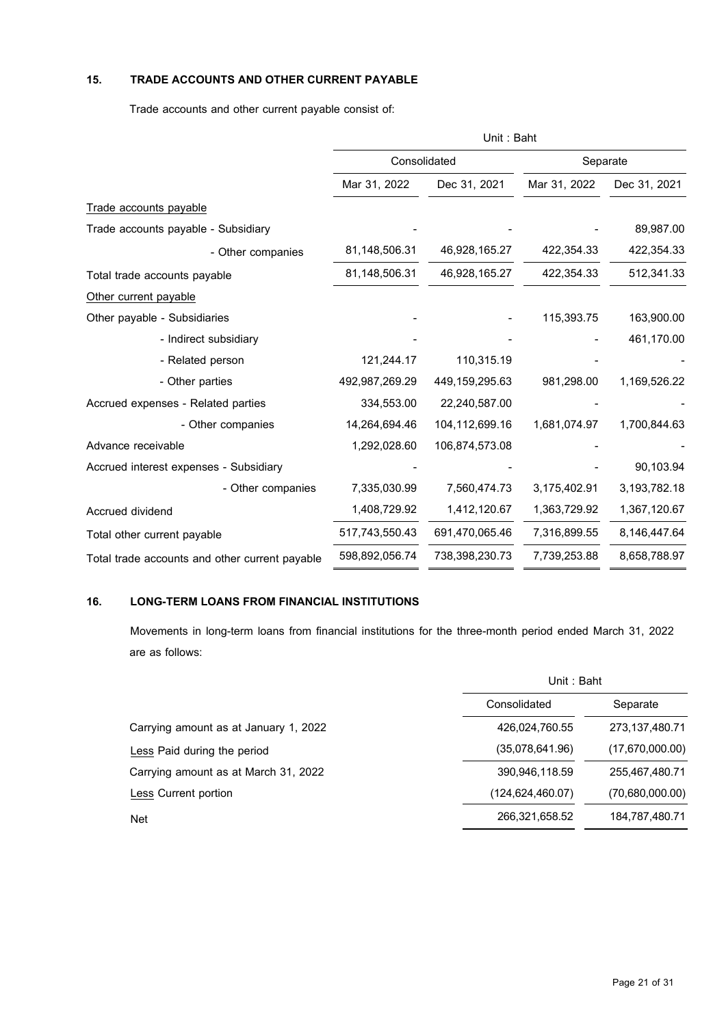# **15. TRADE ACCOUNTS AND OTHER CURRENT PAYABLE**

Trade accounts and other current payable consist of:

|                                                | Unit: Baht     |                |              |                 |  |
|------------------------------------------------|----------------|----------------|--------------|-----------------|--|
|                                                | Consolidated   |                | Separate     |                 |  |
|                                                | Mar 31, 2022   | Dec 31, 2021   | Mar 31, 2022 | Dec 31, 2021    |  |
| Trade accounts payable                         |                |                |              |                 |  |
| Trade accounts payable - Subsidiary            |                |                |              | 89,987.00       |  |
| - Other companies                              | 81,148,506.31  | 46,928,165.27  | 422,354.33   | 422,354.33      |  |
| Total trade accounts payable                   | 81,148,506.31  | 46,928,165.27  | 422,354.33   | 512,341.33      |  |
| Other current payable                          |                |                |              |                 |  |
| Other payable - Subsidiaries                   |                |                | 115,393.75   | 163,900.00      |  |
| - Indirect subsidiary                          |                |                |              | 461,170.00      |  |
| - Related person                               | 121,244.17     | 110,315.19     |              |                 |  |
| - Other parties                                | 492,987,269.29 | 449,159,295.63 | 981,298.00   | 1,169,526.22    |  |
| Accrued expenses - Related parties             | 334,553.00     | 22,240,587.00  |              |                 |  |
| - Other companies                              | 14,264,694.46  | 104,112,699.16 | 1,681,074.97 | 1,700,844.63    |  |
| Advance receivable                             | 1,292,028.60   | 106,874,573.08 |              |                 |  |
| Accrued interest expenses - Subsidiary         |                |                |              | 90,103.94       |  |
| - Other companies                              | 7,335,030.99   | 7,560,474.73   | 3,175,402.91 | 3, 193, 782. 18 |  |
| Accrued dividend                               | 1,408,729.92   | 1,412,120.67   | 1,363,729.92 | 1,367,120.67    |  |
| Total other current payable                    | 517,743,550.43 | 691,470,065.46 | 7,316,899.55 | 8,146,447.64    |  |
| Total trade accounts and other current payable | 598,892,056.74 | 738,398,230.73 | 7,739,253.88 | 8,658,788.97    |  |

# **16. LONG-TERM LOANS FROM FINANCIAL INSTITUTIONS**

Movements in long-term loans from financial institutions for the three-month period ended March 31, 2022 are as follows:

|                                       | Unit: Baht       |                 |  |
|---------------------------------------|------------------|-----------------|--|
|                                       | Consolidated     | Separate        |  |
| Carrying amount as at January 1, 2022 | 426,024,760.55   | 273,137,480.71  |  |
| Less Paid during the period           | (35,078,641.96)  | (17,670,000.00) |  |
| Carrying amount as at March 31, 2022  | 390,946,118.59   | 255,467,480.71  |  |
| Less Current portion                  | (124,624,460.07) | (70,680,000.00) |  |
| <b>Net</b>                            | 266,321,658.52   | 184,787,480.71  |  |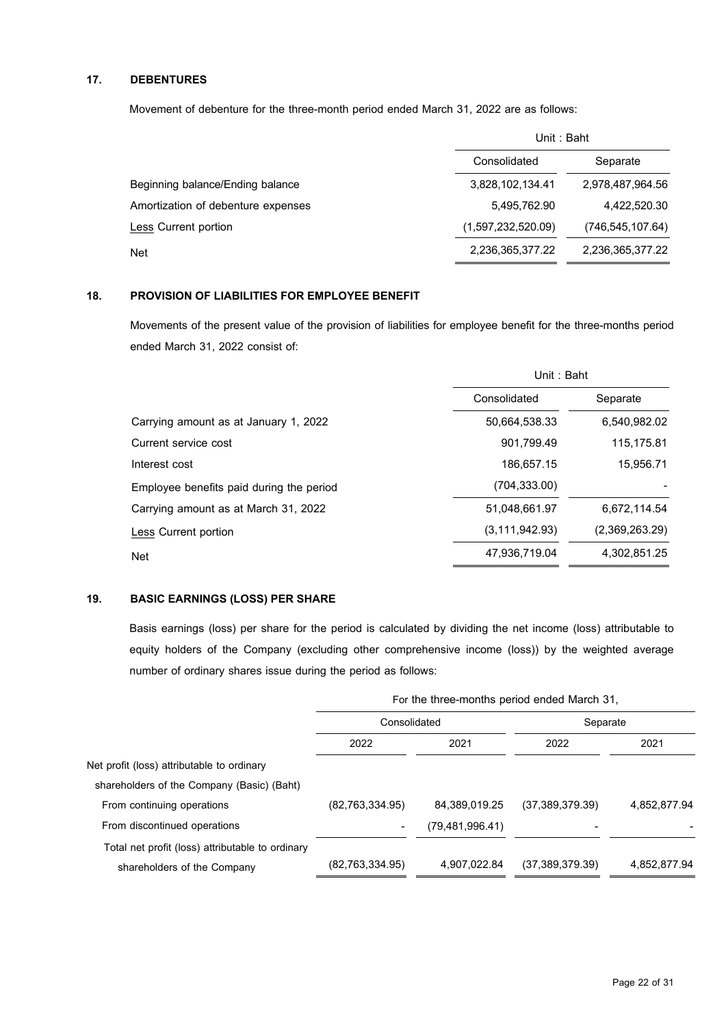# **17. DEBENTURES**

Movement of debenture for the three-month period ended March 31, 2022 are as follows:

|                                    | Unit: Baht         |                    |  |
|------------------------------------|--------------------|--------------------|--|
|                                    | Consolidated       | Separate           |  |
| Beginning balance/Ending balance   | 3,828,102,134.41   | 2,978,487,964.56   |  |
| Amortization of debenture expenses | 5,495,762.90       | 4,422,520.30       |  |
| Less Current portion               | (1,597,232,520.09) | (746, 545, 107.64) |  |
| <b>Net</b>                         | 2,236,365,377.22   | 2,236,365,377.22   |  |

# **18. PROVISION OF LIABILITIES FOR EMPLOYEE BENEFIT**

Movements of the present value of the provision of liabilities for employee benefit for the three-months period ended March 31, 2022 consist of:

|                                          | Unit: Baht       |                |  |
|------------------------------------------|------------------|----------------|--|
|                                          | Consolidated     | Separate       |  |
| Carrying amount as at January 1, 2022    | 50.664.538.33    | 6,540,982.02   |  |
| Current service cost                     | 901.799.49       | 115,175.81     |  |
| Interest cost                            | 186.657.15       | 15.956.71      |  |
| Employee benefits paid during the period | (704, 333.00)    |                |  |
| Carrying amount as at March 31, 2022     | 51,048,661.97    | 6,672,114.54   |  |
| Less Current portion                     | (3, 111, 942.93) | (2,369,263.29) |  |
| <b>Net</b>                               | 47,936,719.04    | 4,302,851.25   |  |

# **19. BASIC EARNINGS (LOSS) PER SHARE**

Basis earnings (loss) per share for the period is calculated by dividing the net income (loss) attributable to equity holders of the Company (excluding other comprehensive income (loss)) by the weighted average number of ordinary shares issue during the period as follows:

|                                                  | For the three-months period ended March 31, |                    |                   |              |  |
|--------------------------------------------------|---------------------------------------------|--------------------|-------------------|--------------|--|
|                                                  | Consolidated                                |                    | Separate          |              |  |
|                                                  | 2022                                        | 2021               | 2022              | 2021         |  |
| Net profit (loss) attributable to ordinary       |                                             |                    |                   |              |  |
| shareholders of the Company (Basic) (Baht)       |                                             |                    |                   |              |  |
| From continuing operations                       | (82, 763, 334.95)                           | 84.389.019.25      | (37, 389, 379.39) | 4,852,877.94 |  |
| From discontinued operations                     |                                             | (79, 481, 996, 41) |                   |              |  |
| Total net profit (loss) attributable to ordinary |                                             |                    |                   |              |  |
| shareholders of the Company                      | (82, 763, 334.95)                           | 4,907,022.84       | (37, 389, 379.39) | 4,852,877.94 |  |
|                                                  |                                             |                    |                   |              |  |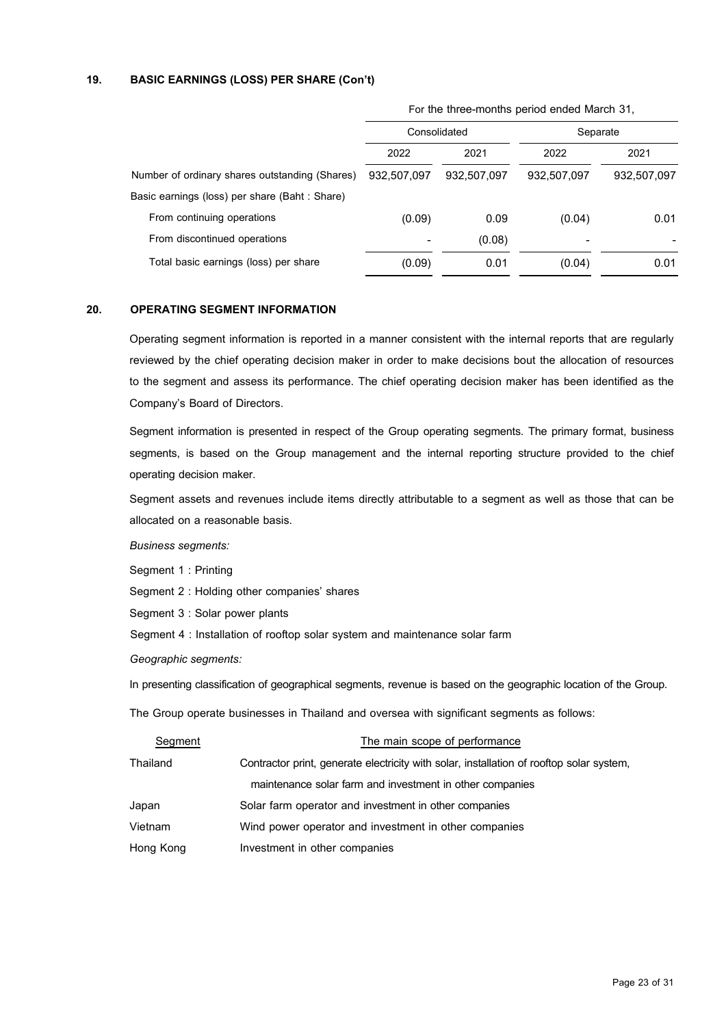## **19. BASIC EARNINGS (LOSS) PER SHARE (Con't)**

|                                                |             |              | For the three-months period ended march 31, |             |  |
|------------------------------------------------|-------------|--------------|---------------------------------------------|-------------|--|
|                                                |             | Consolidated | Separate                                    |             |  |
|                                                | 2022        | 2021         | 2022                                        | 2021        |  |
| Number of ordinary shares outstanding (Shares) | 932,507,097 | 932,507,097  | 932,507,097                                 | 932,507,097 |  |
| Basic earnings (loss) per share (Baht: Share)  |             |              |                                             |             |  |
| From continuing operations                     | (0.09)      | 0.09         | (0.04)                                      | 0.01        |  |
| From discontinued operations                   |             | (0.08)       |                                             |             |  |
| Total basic earnings (loss) per share          | (0.09)      | 0.01         | (0.04)                                      | 0.01        |  |
|                                                |             |              |                                             |             |  |

For the three-months period ended March 31,

### **20. OPERATING SEGMENT INFORMATION**

Operating segment information is reported in a manner consistent with the internal reports that are regularly reviewed by the chief operating decision maker in order to make decisions bout the allocation of resources to the segment and assess its performance. The chief operating decision maker has been identified as the Company's Board of Directors.

Segment information is presented in respect of the Group operating segments. The primary format, business segments, is based on the Group management and the internal reporting structure provided to the chief operating decision maker.

Segment assets and revenues include items directly attributable to a segment as well as those that can be allocated on a reasonable basis.

*Business segments:*

Segment 1 : Printing

Segment 2 : Holding other companies' shares

Segment 3 : Solar power plants

Segment 4 : Installation of rooftop solar system and maintenance solar farm

*Geographic segments:*

In presenting classification of geographical segments, revenue is based on the geographic location of the Group.

The Group operate businesses in Thailand and oversea with significant segments as follows:

| Segment   | The main scope of performance                                                            |
|-----------|------------------------------------------------------------------------------------------|
| Thailand  | Contractor print, generate electricity with solar, installation of rooftop solar system, |
|           | maintenance solar farm and investment in other companies                                 |
| Japan     | Solar farm operator and investment in other companies                                    |
| Vietnam   | Wind power operator and investment in other companies                                    |
| Hong Kong | Investment in other companies                                                            |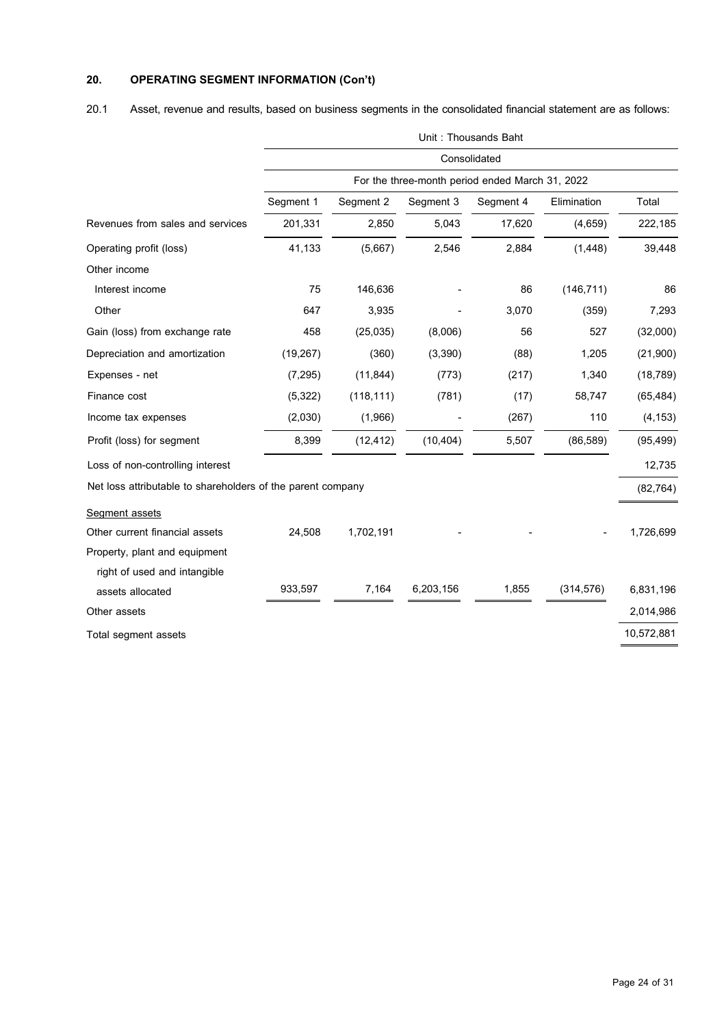# **20. OPERATING SEGMENT INFORMATION (Con't)**

20.1 Asset, revenue and results, based on business segments in the consolidated financial statement are as follows:

|                                                             |              | Unit: Thousands Baht |           |                                                 |             |            |  |  |
|-------------------------------------------------------------|--------------|----------------------|-----------|-------------------------------------------------|-------------|------------|--|--|
|                                                             | Consolidated |                      |           |                                                 |             |            |  |  |
|                                                             |              |                      |           | For the three-month period ended March 31, 2022 |             |            |  |  |
|                                                             | Segment 1    | Segment 2            | Segment 3 | Segment 4                                       | Elimination | Total      |  |  |
| Revenues from sales and services                            | 201,331      | 2,850                | 5,043     | 17,620                                          | (4,659)     | 222,185    |  |  |
| Operating profit (loss)                                     | 41,133       | (5,667)              | 2,546     | 2,884                                           | (1, 448)    | 39,448     |  |  |
| Other income                                                |              |                      |           |                                                 |             |            |  |  |
| Interest income                                             | 75           | 146,636              |           | 86                                              | (146, 711)  | 86         |  |  |
| Other                                                       | 647          | 3,935                |           | 3,070                                           | (359)       | 7,293      |  |  |
| Gain (loss) from exchange rate                              | 458          | (25, 035)            | (8,006)   | 56                                              | 527         | (32,000)   |  |  |
| Depreciation and amortization                               | (19, 267)    | (360)                | (3, 390)  | (88)                                            | 1,205       | (21,900)   |  |  |
| Expenses - net                                              | (7, 295)     | (11, 844)            | (773)     | (217)                                           | 1,340       | (18, 789)  |  |  |
| Finance cost                                                | (5, 322)     | (118, 111)           | (781)     | (17)                                            | 58,747      | (65, 484)  |  |  |
| Income tax expenses                                         | (2,030)      | (1,966)              |           | (267)                                           | 110         | (4, 153)   |  |  |
| Profit (loss) for segment                                   | 8,399        | (12, 412)            | (10, 404) | 5,507                                           | (86, 589)   | (95, 499)  |  |  |
| Loss of non-controlling interest                            |              |                      |           |                                                 |             | 12,735     |  |  |
| Net loss attributable to shareholders of the parent company |              |                      |           |                                                 |             | (82, 764)  |  |  |
| Segment assets                                              |              |                      |           |                                                 |             |            |  |  |
| Other current financial assets                              | 24,508       | 1,702,191            |           |                                                 |             | 1,726,699  |  |  |
| Property, plant and equipment                               |              |                      |           |                                                 |             |            |  |  |
| right of used and intangible                                |              |                      |           |                                                 |             |            |  |  |
| assets allocated                                            | 933,597      | 7,164                | 6,203,156 | 1,855                                           | (314, 576)  | 6,831,196  |  |  |
| Other assets                                                |              |                      |           |                                                 |             | 2,014,986  |  |  |
| Total segment assets                                        |              |                      |           |                                                 |             | 10,572,881 |  |  |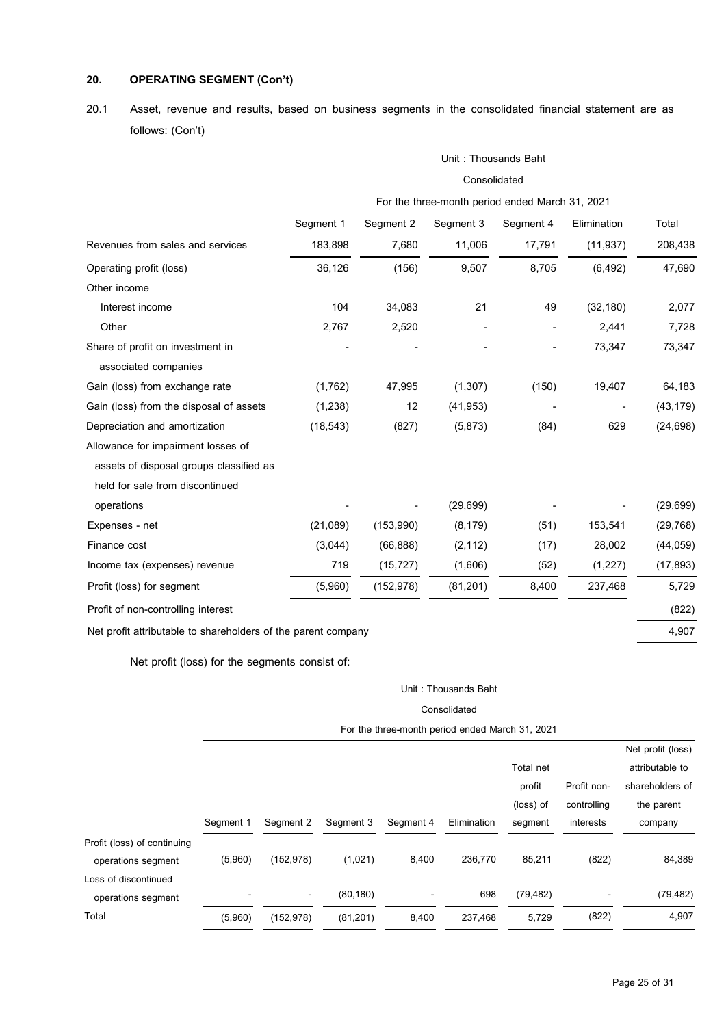# **20. OPERATING SEGMENT(Con't)**

20.1 Asset, revenue and results, based on business segments in the consolidated financial statement are as follows: (Con't)

|                                                               | Unit: Thousands Baht |            |              |                                                 |             |           |
|---------------------------------------------------------------|----------------------|------------|--------------|-------------------------------------------------|-------------|-----------|
|                                                               |                      |            | Consolidated |                                                 |             |           |
|                                                               |                      |            |              | For the three-month period ended March 31, 2021 |             |           |
|                                                               | Segment 1            | Segment 2  | Segment 3    | Segment 4                                       | Elimination | Total     |
| Revenues from sales and services                              | 183,898              | 7,680      | 11,006       | 17,791                                          | (11, 937)   | 208,438   |
| Operating profit (loss)                                       | 36,126               | (156)      | 9,507        | 8,705                                           | (6, 492)    | 47,690    |
| Other income                                                  |                      |            |              |                                                 |             |           |
| Interest income                                               | 104                  | 34,083     | 21           | 49                                              | (32, 180)   | 2,077     |
| Other                                                         | 2,767                | 2,520      |              |                                                 | 2,441       | 7,728     |
| Share of profit on investment in                              |                      |            |              |                                                 | 73,347      | 73,347    |
| associated companies                                          |                      |            |              |                                                 |             |           |
| Gain (loss) from exchange rate                                | (1,762)              | 47,995     | (1,307)      | (150)                                           | 19,407      | 64,183    |
| Gain (loss) from the disposal of assets                       | (1, 238)             | 12         | (41, 953)    |                                                 |             | (43, 179) |
| Depreciation and amortization                                 | (18, 543)            | (827)      | (5,873)      | (84)                                            | 629         | (24, 698) |
| Allowance for impairment losses of                            |                      |            |              |                                                 |             |           |
| assets of disposal groups classified as                       |                      |            |              |                                                 |             |           |
| held for sale from discontinued                               |                      |            |              |                                                 |             |           |
| operations                                                    |                      |            | (29, 699)    |                                                 |             | (29, 699) |
| Expenses - net                                                | (21,089)             | (153,990)  | (8, 179)     | (51)                                            | 153,541     | (29, 768) |
| Finance cost                                                  | (3,044)              | (66, 888)  | (2, 112)     | (17)                                            | 28,002      | (44, 059) |
| Income tax (expenses) revenue                                 | 719                  | (15, 727)  | (1,606)      | (52)                                            | (1,227)     | (17, 893) |
| Profit (loss) for segment                                     | (5,960)              | (152, 978) | (81, 201)    | 8,400                                           | 237,468     | 5,729     |
| Profit of non-controlling interest                            |                      |            |              |                                                 |             | (822)     |
| Net profit attributable to shareholders of the parent company |                      |            |              |                                                 |             | 4,907     |

Net profit (loss) for the segments consist of:

|                             | Unit: Thousands Baht |            |           |           |                                                 |           |             |                   |  |
|-----------------------------|----------------------|------------|-----------|-----------|-------------------------------------------------|-----------|-------------|-------------------|--|
|                             | Consolidated         |            |           |           |                                                 |           |             |                   |  |
|                             |                      |            |           |           | For the three-month period ended March 31, 2021 |           |             |                   |  |
|                             |                      |            |           |           |                                                 |           |             | Net profit (loss) |  |
|                             |                      |            |           |           |                                                 | Total net |             | attributable to   |  |
|                             |                      |            |           |           |                                                 | profit    | Profit non- | shareholders of   |  |
|                             |                      |            |           |           |                                                 | (loss) of | controlling | the parent        |  |
|                             | Segment 1            | Segment 2  | Segment 3 | Segment 4 | Elimination                                     | segment   | interests   | company           |  |
| Profit (loss) of continuing |                      |            |           |           |                                                 |           |             |                   |  |
| operations segment          | (5,960)              | (152, 978) | (1,021)   | 8,400     | 236,770                                         | 85,211    | (822)       | 84,389            |  |
| Loss of discontinued        |                      |            |           |           |                                                 |           |             |                   |  |
| operations segment          |                      | ٠          | (80, 180) | ۰         | 698                                             | (79, 482) |             | (79, 482)         |  |
| Total                       | (5,960)              | (152, 978) | (81, 201) | 8,400     | 237,468                                         | 5,729     | (822)       | 4,907             |  |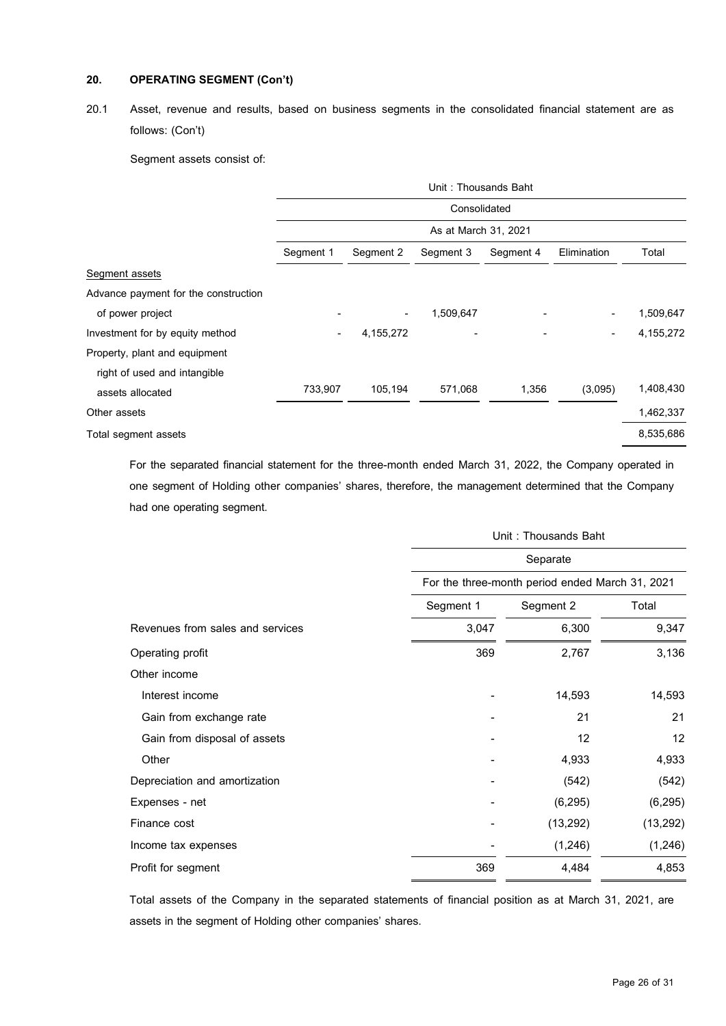# **20. OPERATING SEGMENT(Con't)**

# 20.1 Asset, revenue and results, based on business segments in the consolidated financial statement are as follows: (Con't)

Segment assets consist of:

|                                      | Unit: Thousands Baht |           |                      |           |                              |           |
|--------------------------------------|----------------------|-----------|----------------------|-----------|------------------------------|-----------|
|                                      |                      |           | Consolidated         |           |                              |           |
|                                      |                      |           | As at March 31, 2021 |           |                              |           |
|                                      | Segment 1            | Segment 2 | Segment 3            | Segment 4 | Elimination                  | Total     |
| Segment assets                       |                      |           |                      |           |                              |           |
| Advance payment for the construction |                      |           |                      |           |                              |           |
| of power project                     |                      | ٠         | 1,509,647            |           |                              | 1,509,647 |
| Investment for by equity method      | -                    | 4,155,272 |                      |           | $\qquad \qquad \blacksquare$ | 4,155,272 |
| Property, plant and equipment        |                      |           |                      |           |                              |           |
| right of used and intangible         |                      |           |                      |           |                              |           |
| assets allocated                     | 733,907              | 105,194   | 571,068              | 1,356     | (3,095)                      | 1,408,430 |
| Other assets                         |                      |           |                      |           |                              | 1,462,337 |
| Total segment assets                 |                      |           |                      |           |                              | 8,535,686 |

For the separated financial statement for the three-month ended March 31, 2022, the Company operated in one segment of Holding other companies' shares, therefore, the management determined that the Company had one operating segment.

|                                  |           | Unit: Thousands Baht                                        |           |  |  |  |
|----------------------------------|-----------|-------------------------------------------------------------|-----------|--|--|--|
|                                  |           | Separate<br>For the three-month period ended March 31, 2021 |           |  |  |  |
|                                  |           |                                                             |           |  |  |  |
|                                  | Segment 1 | Segment 2                                                   | Total     |  |  |  |
| Revenues from sales and services | 3,047     | 6,300                                                       | 9,347     |  |  |  |
| Operating profit                 | 369       | 2,767                                                       | 3,136     |  |  |  |
| Other income                     |           |                                                             |           |  |  |  |
| Interest income                  |           | 14,593                                                      | 14,593    |  |  |  |
| Gain from exchange rate          |           | 21                                                          | 21        |  |  |  |
| Gain from disposal of assets     |           | 12                                                          | 12        |  |  |  |
| Other                            |           | 4,933                                                       | 4,933     |  |  |  |
| Depreciation and amortization    |           | (542)                                                       | (542)     |  |  |  |
| Expenses - net                   |           | (6, 295)                                                    | (6, 295)  |  |  |  |
| Finance cost                     |           | (13, 292)                                                   | (13, 292) |  |  |  |
| Income tax expenses              |           | (1, 246)                                                    | (1, 246)  |  |  |  |
| Profit for segment               | 369       | 4,484                                                       | 4,853     |  |  |  |

Total assets of the Company in the separated statements of financial position as at March 31, 2021, are assets in the segment of Holding other companies' shares.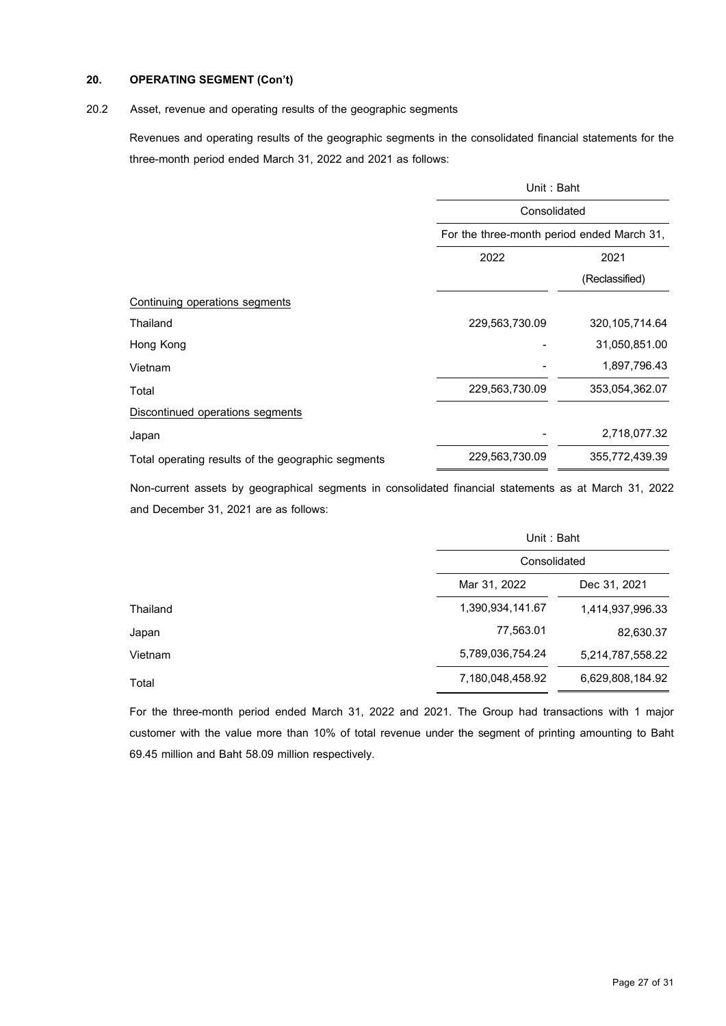# **20. OPERATING SEGMENT(Con't)**

### 20.2 Asset, revenue and operating results of the geographic segments

Revenues and operating results of the geographic segments in the consolidated financial statements for the three-month period ended March 31, 2022 and 2021 as follows:

|                                                    |                | Unit: Baht                                 |  |  |  |
|----------------------------------------------------|----------------|--------------------------------------------|--|--|--|
|                                                    |                | Consolidated                               |  |  |  |
|                                                    |                | For the three-month period ended March 31, |  |  |  |
|                                                    | 2022           | 2021                                       |  |  |  |
|                                                    |                | (Reclassified)                             |  |  |  |
| Continuing operations segments                     |                |                                            |  |  |  |
| Thailand                                           | 229,563,730.09 | 320, 105, 714.64                           |  |  |  |
| Hong Kong                                          |                | 31,050,851.00                              |  |  |  |
| Vietnam                                            |                | 1,897,796.43                               |  |  |  |
| Total                                              | 229,563,730.09 | 353,054,362.07                             |  |  |  |
| Discontinued operations segments                   |                |                                            |  |  |  |
| Japan                                              |                | 2,718,077.32                               |  |  |  |
| Total operating results of the geographic segments | 229,563,730.09 | 355,772,439.39                             |  |  |  |

Non-current assets by geographical segments in consolidated financial statements as at March 31, 2022 and December 31, 2021 are as follows:

|          |                  | Unit: Baht       |  |  |
|----------|------------------|------------------|--|--|
|          | Consolidated     |                  |  |  |
|          | Mar 31, 2022     | Dec 31, 2021     |  |  |
| Thailand | 1,390,934,141.67 | 1,414,937,996.33 |  |  |
| Japan    | 77,563.01        | 82,630.37        |  |  |
| Vietnam  | 5,789,036,754.24 | 5,214,787,558.22 |  |  |
| Total    | 7,180,048,458.92 | 6,629,808,184.92 |  |  |
|          |                  |                  |  |  |

For the three-month period ended March 31, 2022 and 2021. The Group had transactions with 1 major customer with the value more than 10% of total revenue under the segment of printing amounting to Baht 69.45 million and Baht 58.09 million respectively.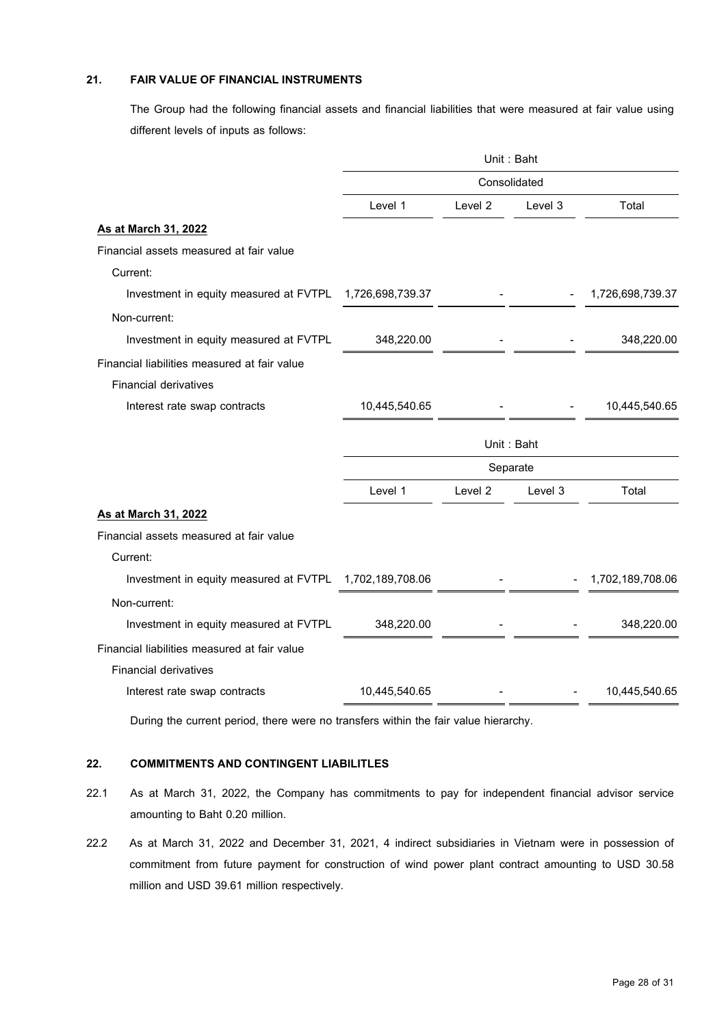# **21. FAIR VALUE OF FINANCIAL INSTRUMENTS**

The Group had the following financial assets and financial liabilities that were measured at fair value using different levels of inputs as follows:

|                                                                                     | Unit: Baht<br>Consolidated |         |         |                  |
|-------------------------------------------------------------------------------------|----------------------------|---------|---------|------------------|
|                                                                                     |                            |         |         |                  |
|                                                                                     | Level 1                    | Level 2 | Level 3 | Total            |
| <b>As at March 31, 2022</b>                                                         |                            |         |         |                  |
| Financial assets measured at fair value                                             |                            |         |         |                  |
| Current:                                                                            |                            |         |         |                  |
| Investment in equity measured at FVTPL                                              | 1,726,698,739.37           |         |         | 1,726,698,739.37 |
| Non-current:                                                                        |                            |         |         |                  |
| Investment in equity measured at FVTPL                                              | 348,220.00                 |         |         | 348,220.00       |
| Financial liabilities measured at fair value                                        |                            |         |         |                  |
| <b>Financial derivatives</b>                                                        |                            |         |         |                  |
| Interest rate swap contracts                                                        | 10,445,540.65              |         |         | 10,445,540.65    |
|                                                                                     |                            |         |         |                  |
|                                                                                     | Unit: Baht                 |         |         |                  |
|                                                                                     | Separate                   |         |         |                  |
|                                                                                     | Level 1                    | Level 2 | Level 3 | Total            |
| As at March 31, 2022                                                                |                            |         |         |                  |
| Financial assets measured at fair value                                             |                            |         |         |                  |
| Current:                                                                            |                            |         |         |                  |
| Investment in equity measured at FVTPL                                              | 1,702,189,708.06           |         |         | 1,702,189,708.06 |
| Non-current:                                                                        |                            |         |         |                  |
| Investment in equity measured at FVTPL                                              | 348,220.00                 |         |         | 348,220.00       |
| Financial liabilities measured at fair value                                        |                            |         |         |                  |
| <b>Financial derivatives</b>                                                        |                            |         |         |                  |
| Interest rate swap contracts                                                        | 10,445,540.65              |         |         | 10,445,540.65    |
| During the current period, there were no transfers within the fair value hierarchy. |                            |         |         |                  |

### **22. COMMITMENTS AND CONTINGENT LIABILITLES**

- 22.1 As at March 31, 2022, the Company has commitments to pay for independent financial advisor service amounting to Baht 0.20 million.
- 22.2 As at March 31, 2022 and December 31, 2021, 4 indirect subsidiaries in Vietnam were in possession of commitment from future payment for construction of wind power plant contract amounting to USD 30.58 million and USD 39.61 million respectively.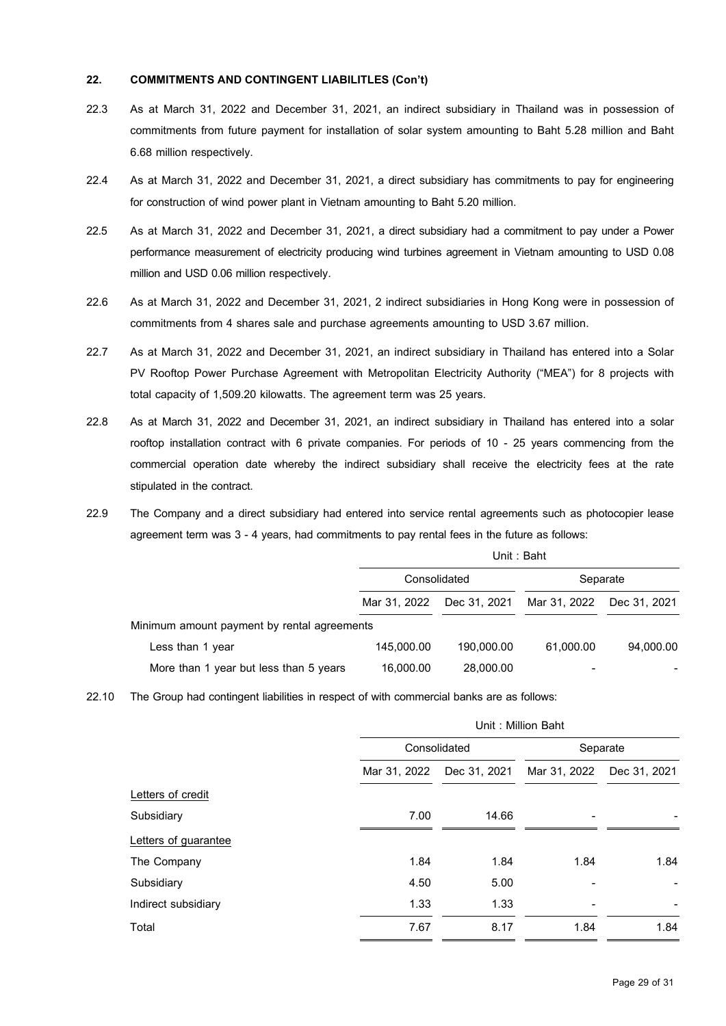### **22. COMMITMENTS AND CONTINGENT LIABILITLES (Con't)**

- 22.3 As at March 31, 2022 and December 31, 2021, an indirect subsidiary in Thailand was in possession of commitments from future payment for installation of solar system amounting to Baht 5.28 million and Baht 6.68 million respectively.
- 22.4 As at March 31, 2022 and December 31, 2021, a direct subsidiary has commitments to pay for engineering for construction of wind power plant in Vietnam amounting to Baht 5.20 million.
- 22.5 As at March 31, 2022 and December 31, 2021, a direct subsidiary had a commitment to pay under a Power performance measurement of electricity producing wind turbines agreement in Vietnam amounting to USD 0.08 million and USD 0.06 million respectively.
- 22.6 As at March 31, 2022 and December 31, 2021, 2 indirect subsidiaries in Hong Kong were in possession of commitments from 4 shares sale and purchase agreements amounting to USD 3.67 million.
- 22.7 As at March 31, 2022 and December 31, 2021, an indirect subsidiary in Thailand has entered into a Solar PV Rooftop Power Purchase Agreement with Metropolitan Electricity Authority ("MEA") for 8 projects with total capacity of 1,509.20 kilowatts. The agreement term was 25 years.
- 22.8 As at March 31, 2022 and December 31, 2021, an indirect subsidiary in Thailand has entered into a solar rooftop installation contract with 6 private companies. For periods of 10 - 25 years commencing from the commercial operation date whereby the indirect subsidiary shall receive the electricity fees at the rate stipulated in the contract.
- 22.9 The Company and a direct subsidiary had entered into service rental agreements such as photocopier lease agreement term was 3 - 4 years, had commitments to pay rental fees in the future as follows:

|                                             | Unit: Baht   |              |              |              |
|---------------------------------------------|--------------|--------------|--------------|--------------|
|                                             | Consolidated |              | Separate     |              |
|                                             | Mar 31, 2022 | Dec 31, 2021 | Mar 31, 2022 | Dec 31. 2021 |
| Minimum amount payment by rental agreements |              |              |              |              |
| Less than 1 year                            | 145.000.00   | 190.000.00   | 61.000.00    | 94.000.00    |
| More than 1 year but less than 5 years      | 16,000.00    | 28,000.00    |              |              |

22.10 The Group had contingent liabilities in respect of with commercial banks are as follows:

|                      |              | Unit: Million Baht |              |              |  |
|----------------------|--------------|--------------------|--------------|--------------|--|
|                      |              | Consolidated       |              | Separate     |  |
|                      | Mar 31, 2022 | Dec 31, 2021       | Mar 31, 2022 | Dec 31, 2021 |  |
| Letters of credit    |              |                    |              |              |  |
| Subsidiary           | 7.00         | 14.66              |              |              |  |
| Letters of guarantee |              |                    |              |              |  |
| The Company          | 1.84         | 1.84               | 1.84         | 1.84         |  |
| Subsidiary           | 4.50         | 5.00               |              |              |  |
| Indirect subsidiary  | 1.33         | 1.33               |              |              |  |
| Total                | 7.67         | 8.17               | 1.84         | 1.84         |  |
|                      |              |                    |              |              |  |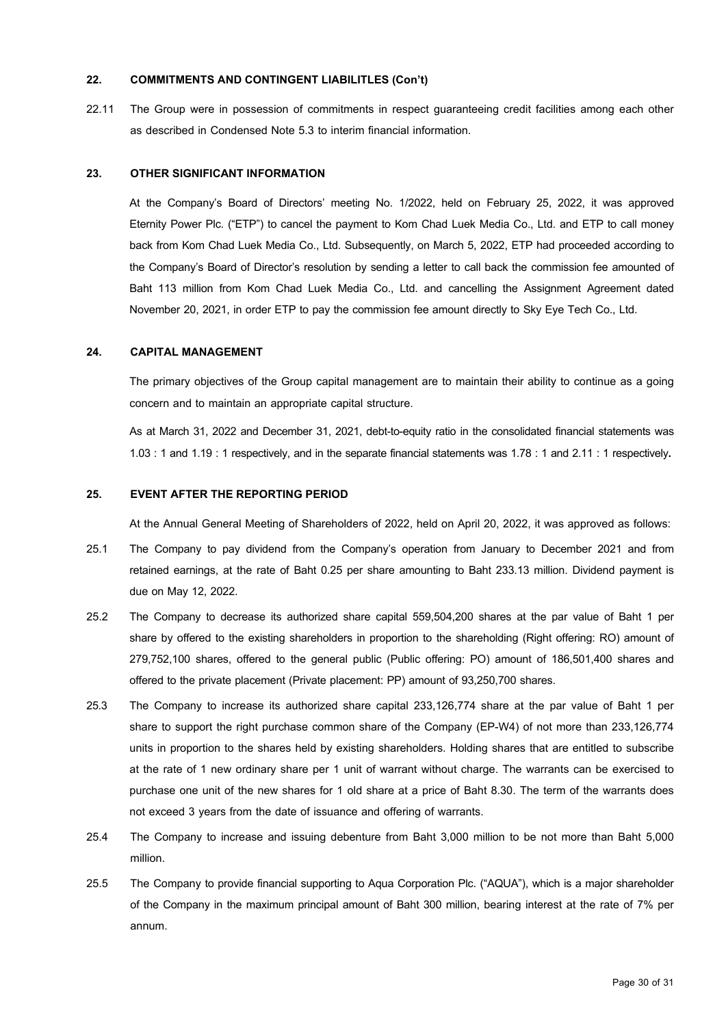### **22. COMMITMENTS AND CONTINGENT LIABILITLES (Con't)**

22.11 The Group were in possession of commitments in respect guaranteeing credit facilities among each other as described in Condensed Note 5.3 to interim financial information.

### **23. OTHER SIGNIFICANT INFORMATION**

At the Company's Board of Directors' meeting No. 1/2022, held on February 25, 2022, it was approved Eternity Power Plc. ("ETP") to cancel the payment to Kom Chad Luek Media Co., Ltd. and ETP to call money back from Kom Chad Luek Media Co., Ltd. Subsequently, on March 5, 2022, ETP had proceeded according to the Company's Board of Director's resolution by sending a letter to call back the commission fee amounted of Baht 113 million from Kom Chad Luek Media Co., Ltd. and cancelling the Assignment Agreement dated November 20, 2021, in order ETP to pay the commission fee amount directly to Sky Eye Tech Co., Ltd.

### **24. CAPITAL MANAGEMENT**

The primary objectives of the Group capital management are to maintain their ability to continue as a going concern and to maintain an appropriate capital structure.

As at March 31, 2022 and December 31, 2021, debt-to-equity ratio in the consolidated financial statements was 1.03 : 1 and 1.19 : 1 respectively, and in the separate financial statements was 1.78 : 1 and 2.11 : 1 respectively**.**

### **25. EVENT AFTER THE REPORTING PERIOD**

At the Annual General Meeting of Shareholders of 2022, held on April 20, 2022, it was approved as follows:

- 25.1 The Company to pay dividend from the Company's operation from January to December 2021 and from retained earnings, at the rate of Baht 0.25 per share amounting to Baht 233.13 million. Dividend payment is due on May 12, 2022.
- 25.2 The Company to decrease its authorized share capital 559,504,200 shares at the par value of Baht 1 per share by offered to the existing shareholders in proportion to the shareholding (Right offering: RO) amount of 279,752,100 shares, offered to the general public (Public offering: PO) amount of 186,501,400 shares and offered to the private placement (Private placement: PP) amount of 93,250,700 shares.
- 25.3 The Company to increase its authorized share capital 233,126,774 share at the par value of Baht 1 per share to support the right purchase common share of the Company (EP-W4) of not more than 233,126,774 units in proportion to the shares held by existing shareholders. Holding shares that are entitled to subscribe at the rate of 1 new ordinary share per 1 unit of warrant without charge. The warrants can be exercised to purchase one unit of the new shares for 1 old share at a price of Baht 8.30. The term of the warrants does not exceed 3 years from the date of issuance and offering of warrants.
- 25.4 The Company to increase and issuing debenture from Baht 3,000 million to be not more than Baht 5,000 million.
- 25.5 The Company to provide financial supporting to Aqua Corporation Plc. ("AQUA"), which is a major shareholder of the Company in the maximum principal amount of Baht 300 million, bearing interest at the rate of 7% per annum.